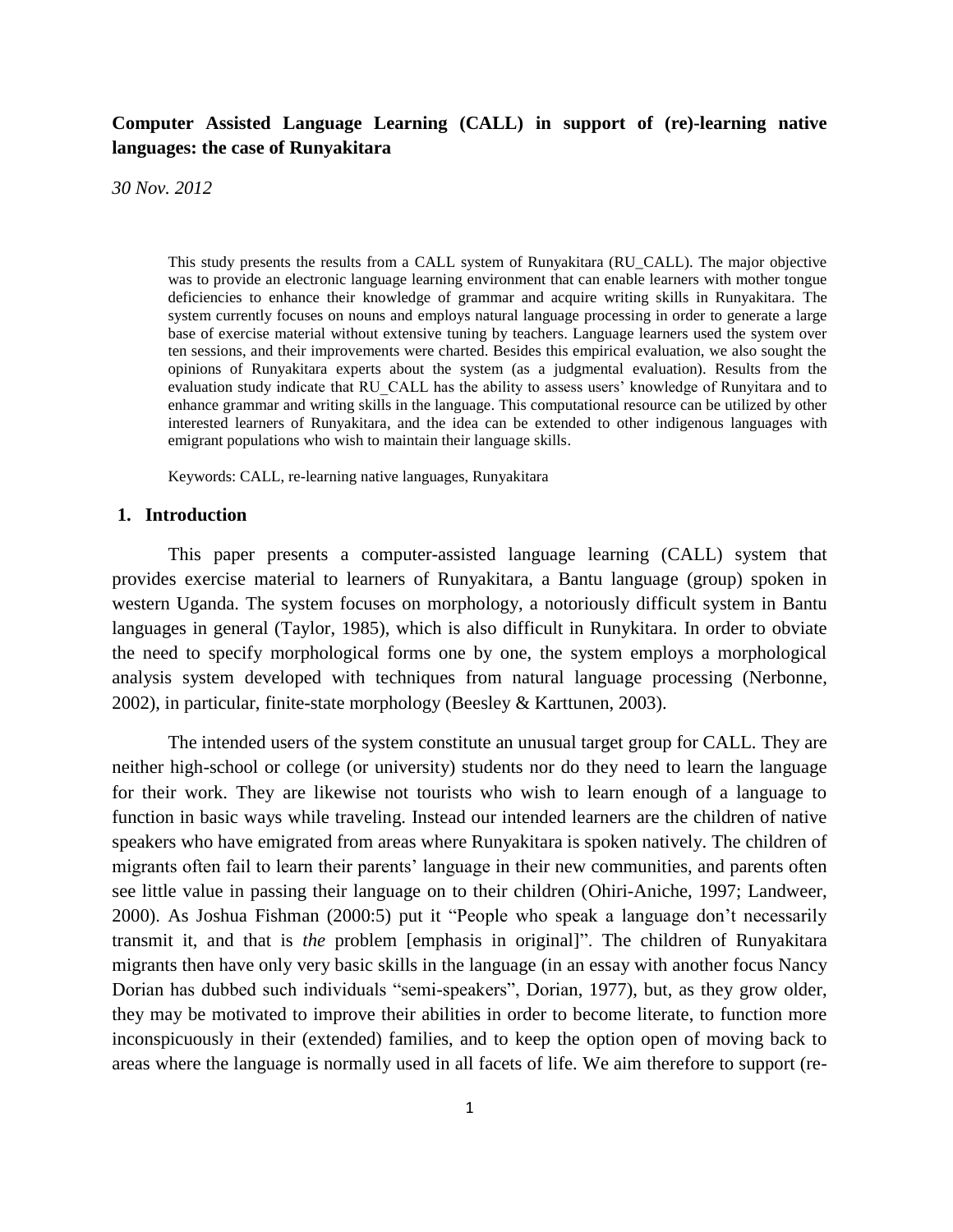# **Computer Assisted Language Learning (CALL) in support of (re)-learning native languages: the case of Runyakitara**

*30 Nov. 2012*

This study presents the results from a CALL system of Runyakitara (RU\_CALL). The major objective was to provide an electronic language learning environment that can enable learners with mother tongue deficiencies to enhance their knowledge of grammar and acquire writing skills in Runyakitara. The system currently focuses on nouns and employs natural language processing in order to generate a large base of exercise material without extensive tuning by teachers. Language learners used the system over ten sessions, and their improvements were charted. Besides this empirical evaluation, we also sought the opinions of Runyakitara experts about the system (as a judgmental evaluation). Results from the evaluation study indicate that RU\_CALL has the ability to assess users' knowledge of Runyitara and to enhance grammar and writing skills in the language. This computational resource can be utilized by other interested learners of Runyakitara, and the idea can be extended to other indigenous languages with emigrant populations who wish to maintain their language skills.

Keywords: CALL, re-learning native languages, Runyakitara

#### **1. Introduction**

This paper presents a computer-assisted language learning (CALL) system that provides exercise material to learners of Runyakitara, a Bantu language (group) spoken in western Uganda. The system focuses on morphology, a notoriously difficult system in Bantu languages in general (Taylor, 1985), which is also difficult in Runykitara. In order to obviate the need to specify morphological forms one by one, the system employs a morphological analysis system developed with techniques from natural language processing (Nerbonne, 2002), in particular, finite-state morphology (Beesley & Karttunen, 2003).

The intended users of the system constitute an unusual target group for CALL. They are neither high-school or college (or university) students nor do they need to learn the language for their work. They are likewise not tourists who wish to learn enough of a language to function in basic ways while traveling. Instead our intended learners are the children of native speakers who have emigrated from areas where Runyakitara is spoken natively. The children of migrants often fail to learn their parents' language in their new communities, and parents often see little value in passing their language on to their children (Ohiri-Aniche, 1997; Landweer, 2000). As Joshua Fishman (2000:5) put it "People who speak a language don't necessarily transmit it, and that is *the* problem [emphasis in original]". The children of Runyakitara migrants then have only very basic skills in the language (in an essay with another focus Nancy Dorian has dubbed such individuals "semi-speakers", Dorian, 1977), but, as they grow older, they may be motivated to improve their abilities in order to become literate, to function more inconspicuously in their (extended) families, and to keep the option open of moving back to areas where the language is normally used in all facets of life. We aim therefore to support (re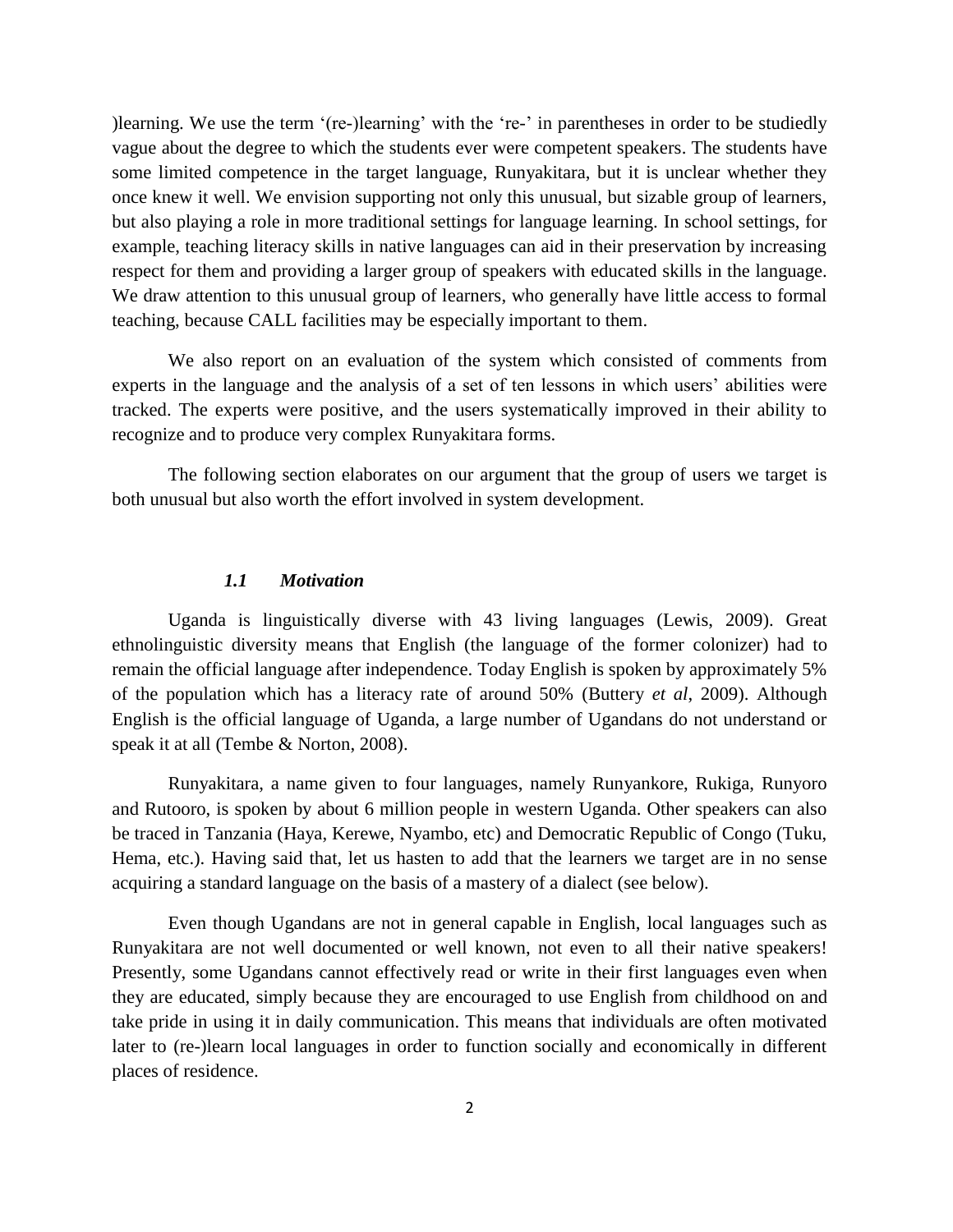)learning. We use the term '(re-)learning' with the 're-' in parentheses in order to be studiedly vague about the degree to which the students ever were competent speakers. The students have some limited competence in the target language, Runyakitara, but it is unclear whether they once knew it well. We envision supporting not only this unusual, but sizable group of learners, but also playing a role in more traditional settings for language learning. In school settings, for example, teaching literacy skills in native languages can aid in their preservation by increasing respect for them and providing a larger group of speakers with educated skills in the language. We draw attention to this unusual group of learners, who generally have little access to formal teaching, because CALL facilities may be especially important to them.

We also report on an evaluation of the system which consisted of comments from experts in the language and the analysis of a set of ten lessons in which users' abilities were tracked. The experts were positive, and the users systematically improved in their ability to recognize and to produce very complex Runyakitara forms.

The following section elaborates on our argument that the group of users we target is both unusual but also worth the effort involved in system development.

### *1.1 Motivation*

Uganda is linguistically diverse with 43 living languages (Lewis, 2009). Great ethnolinguistic diversity means that English (the language of the former colonizer) had to remain the official language after independence. Today English is spoken by approximately 5% of the population which has a literacy rate of around 50% (Buttery *et al*, 2009). Although English is the official language of Uganda, a large number of Ugandans do not understand or speak it at all (Tembe & Norton, 2008).

Runyakitara, a name given to four languages, namely Runyankore, Rukiga, Runyoro and Rutooro, is spoken by about 6 million people in western Uganda. Other speakers can also be traced in Tanzania (Haya, Kerewe, Nyambo, etc) and Democratic Republic of Congo (Tuku, Hema, etc.). Having said that, let us hasten to add that the learners we target are in no sense acquiring a standard language on the basis of a mastery of a dialect (see below).

Even though Ugandans are not in general capable in English, local languages such as Runyakitara are not well documented or well known, not even to all their native speakers! Presently, some Ugandans cannot effectively read or write in their first languages even when they are educated, simply because they are encouraged to use English from childhood on and take pride in using it in daily communication. This means that individuals are often motivated later to (re-)learn local languages in order to function socially and economically in different places of residence.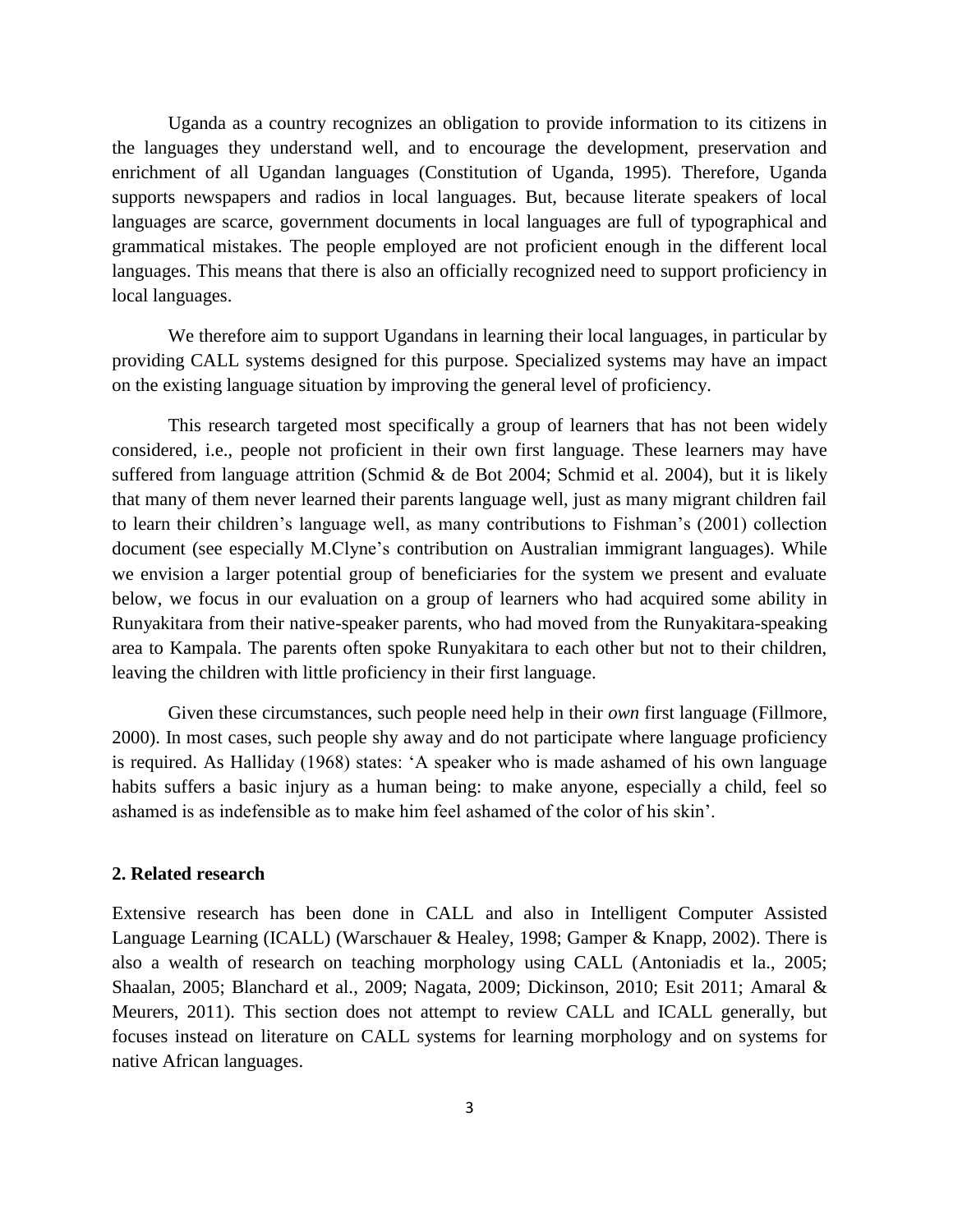Uganda as a country recognizes an obligation to provide information to its citizens in the languages they understand well, and to encourage the development, preservation and enrichment of all Ugandan languages (Constitution of Uganda, 1995). Therefore, Uganda supports newspapers and radios in local languages. But, because literate speakers of local languages are scarce, government documents in local languages are full of typographical and grammatical mistakes. The people employed are not proficient enough in the different local languages. This means that there is also an officially recognized need to support proficiency in local languages.

We therefore aim to support Ugandans in learning their local languages, in particular by providing CALL systems designed for this purpose. Specialized systems may have an impact on the existing language situation by improving the general level of proficiency.

This research targeted most specifically a group of learners that has not been widely considered, i.e., people not proficient in their own first language. These learners may have suffered from language attrition (Schmid & de Bot 2004; Schmid et al. 2004), but it is likely that many of them never learned their parents language well, just as many migrant children fail to learn their children's language well, as many contributions to Fishman's (2001) collection document (see especially M.Clyne's contribution on Australian immigrant languages). While we envision a larger potential group of beneficiaries for the system we present and evaluate below, we focus in our evaluation on a group of learners who had acquired some ability in Runyakitara from their native-speaker parents, who had moved from the Runyakitara-speaking area to Kampala. The parents often spoke Runyakitara to each other but not to their children, leaving the children with little proficiency in their first language.

Given these circumstances, such people need help in their *own* first language (Fillmore, 2000). In most cases, such people shy away and do not participate where language proficiency is required. As Halliday (1968) states: 'A speaker who is made ashamed of his own language habits suffers a basic injury as a human being: to make anyone, especially a child, feel so ashamed is as indefensible as to make him feel ashamed of the color of his skin'.

#### **2. Related research**

Extensive research has been done in CALL and also in Intelligent Computer Assisted Language Learning (ICALL) (Warschauer & Healey, 1998; Gamper & Knapp, 2002). There is also a wealth of research on teaching morphology using CALL (Antoniadis et la., 2005; Shaalan, 2005; Blanchard et al., 2009; Nagata, 2009; Dickinson, 2010; Esit 2011; Amaral & Meurers, 2011). This section does not attempt to review CALL and ICALL generally, but focuses instead on literature on CALL systems for learning morphology and on systems for native African languages.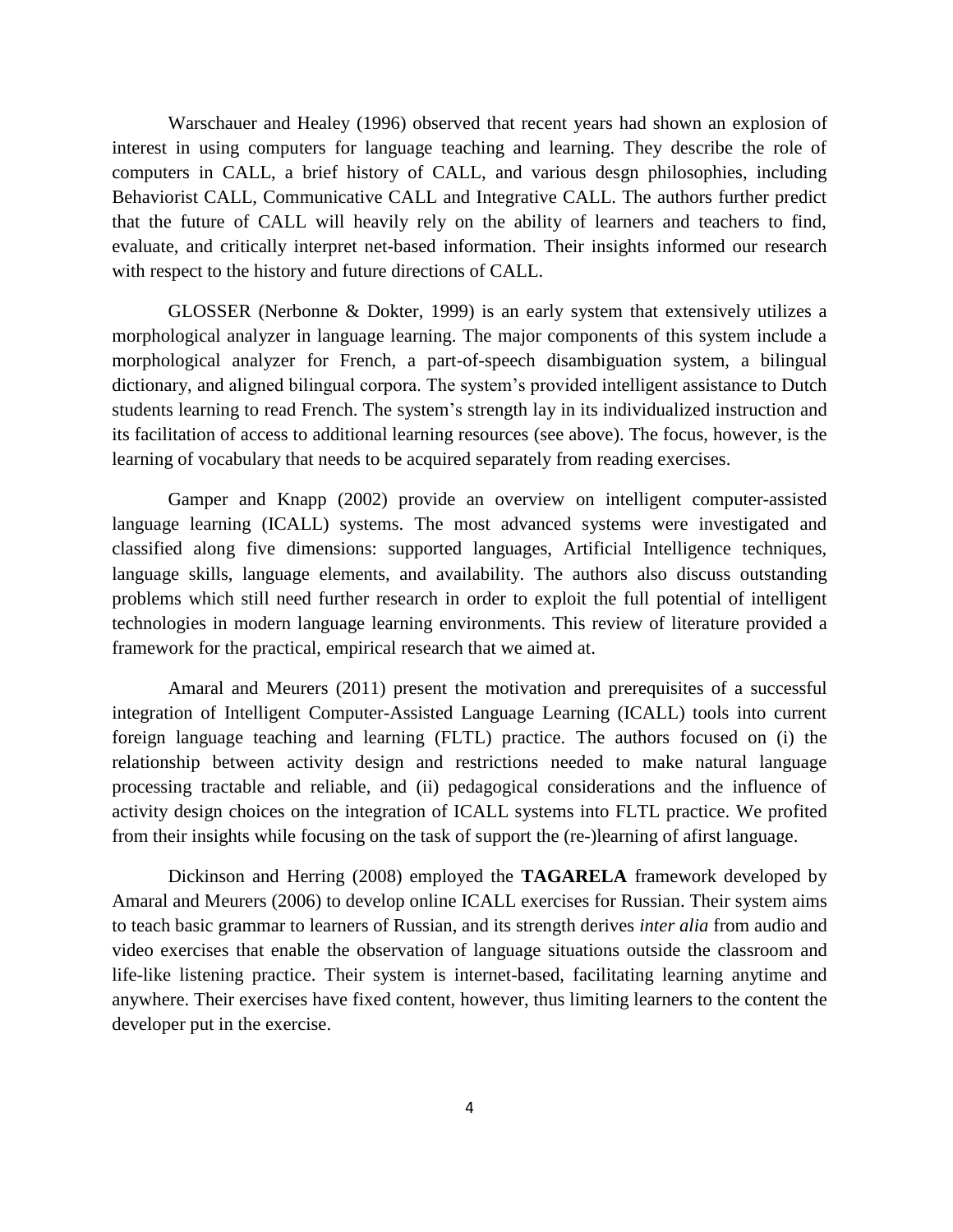Warschauer and Healey (1996) observed that recent years had shown an explosion of interest in using computers for language teaching and learning. They describe the role of computers in CALL, a brief history of CALL, and various desgn philosophies, including Behaviorist CALL, Communicative CALL and Integrative CALL. The authors further predict that the future of CALL will heavily rely on the ability of learners and teachers to find, evaluate, and critically interpret net-based information. Their insights informed our research with respect to the history and future directions of CALL.

GLOSSER (Nerbonne & Dokter, 1999) is an early system that extensively utilizes a morphological analyzer in language learning. The major components of this system include a morphological analyzer for French, a part-of-speech disambiguation system, a bilingual dictionary, and aligned bilingual corpora. The system's provided intelligent assistance to Dutch students learning to read French. The system's strength lay in its individualized instruction and its facilitation of access to additional learning resources (see above). The focus, however, is the learning of vocabulary that needs to be acquired separately from reading exercises.

Gamper and Knapp (2002) provide an overview on intelligent computer-assisted language learning (ICALL) systems. The most advanced systems were investigated and classified along five dimensions: supported languages, Artificial Intelligence techniques, language skills, language elements, and availability. The authors also discuss outstanding problems which still need further research in order to exploit the full potential of intelligent technologies in modern language learning environments. This review of literature provided a framework for the practical, empirical research that we aimed at.

Amaral and Meurers (2011) present the motivation and prerequisites of a successful integration of Intelligent Computer-Assisted Language Learning (ICALL) tools into current foreign language teaching and learning (FLTL) practice. The authors focused on (i) the relationship between activity design and restrictions needed to make natural language processing tractable and reliable, and (ii) pedagogical considerations and the influence of activity design choices on the integration of ICALL systems into FLTL practice. We profited from their insights while focusing on the task of support the (re-)learning of afirst language.

Dickinson and Herring (2008) employed the **TAGARELA** framework developed by Amaral and Meurers (2006) to develop online ICALL exercises for Russian. Their system aims to teach basic grammar to learners of Russian, and its strength derives *inter alia* from audio and video exercises that enable the observation of language situations outside the classroom and life-like listening practice. Their system is internet-based, facilitating learning anytime and anywhere. Their exercises have fixed content, however, thus limiting learners to the content the developer put in the exercise.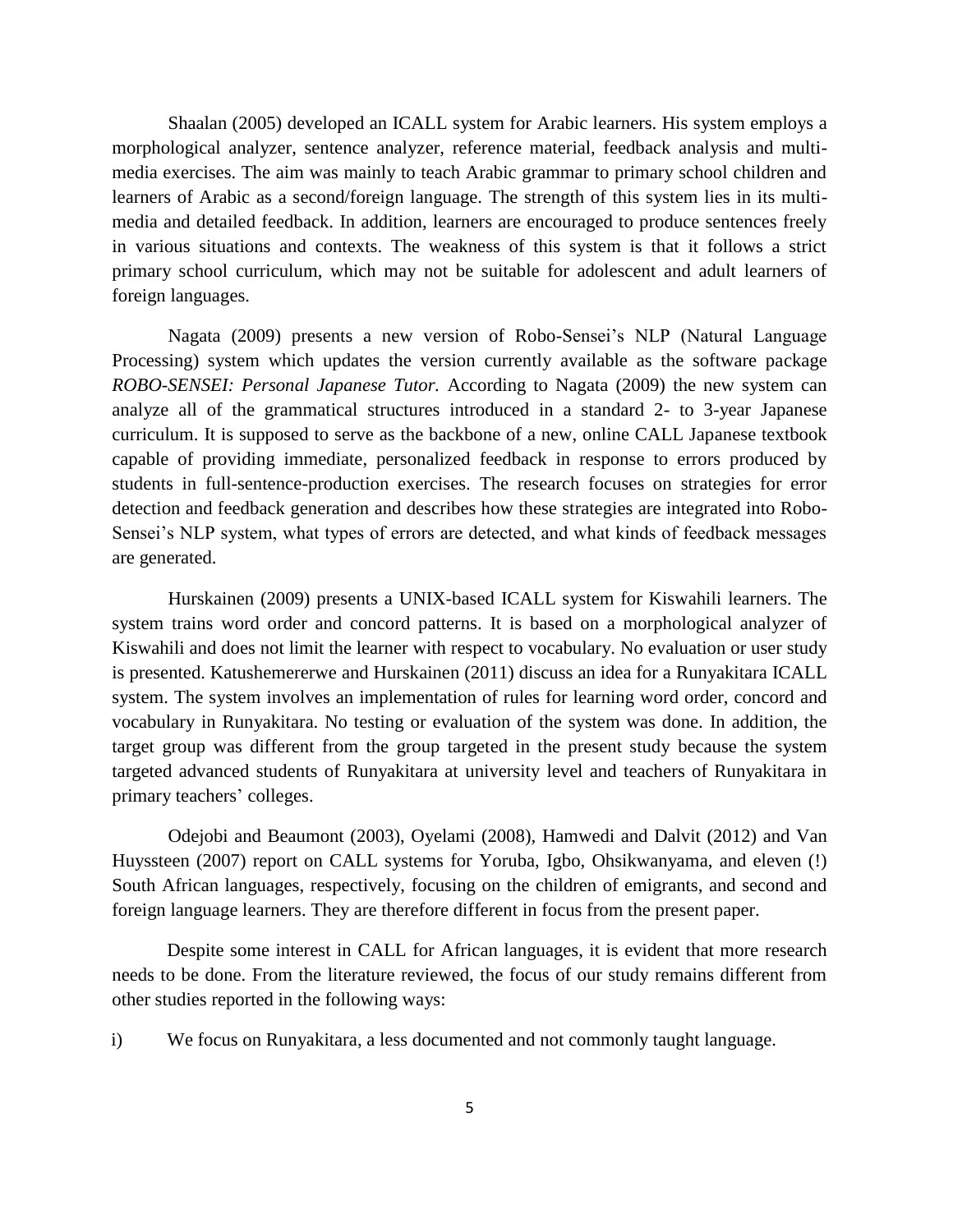Shaalan (2005) developed an ICALL system for Arabic learners. His system employs a morphological analyzer, sentence analyzer, reference material, feedback analysis and multimedia exercises. The aim was mainly to teach Arabic grammar to primary school children and learners of Arabic as a second/foreign language. The strength of this system lies in its multimedia and detailed feedback. In addition, learners are encouraged to produce sentences freely in various situations and contexts. The weakness of this system is that it follows a strict primary school curriculum, which may not be suitable for adolescent and adult learners of foreign languages.

Nagata (2009) presents a new version of Robo-Sensei's NLP (Natural Language Processing) system which updates the version currently available as the software package *ROBO-SENSEI: Personal Japanese Tutor.* According to Nagata (2009) the new system can analyze all of the grammatical structures introduced in a standard 2- to 3-year Japanese curriculum. It is supposed to serve as the backbone of a new, online CALL Japanese textbook capable of providing immediate, personalized feedback in response to errors produced by students in full-sentence-production exercises. The research focuses on strategies for error detection and feedback generation and describes how these strategies are integrated into Robo-Sensei's NLP system, what types of errors are detected, and what kinds of feedback messages are generated.

Hurskainen (2009) presents a UNIX-based ICALL system for Kiswahili learners. The system trains word order and concord patterns. It is based on a morphological analyzer of Kiswahili and does not limit the learner with respect to vocabulary. No evaluation or user study is presented. Katushemererwe and Hurskainen (2011) discuss an idea for a Runyakitara ICALL system. The system involves an implementation of rules for learning word order, concord and vocabulary in Runyakitara. No testing or evaluation of the system was done. In addition, the target group was different from the group targeted in the present study because the system targeted advanced students of Runyakitara at university level and teachers of Runyakitara in primary teachers' colleges.

Odejobi and Beaumont (2003), Oyelami (2008), Hamwedi and Dalvit (2012) and Van Huyssteen (2007) report on CALL systems for Yoruba, Igbo, Ohsikwanyama, and eleven (!) South African languages, respectively, focusing on the children of emigrants, and second and foreign language learners. They are therefore different in focus from the present paper.

Despite some interest in CALL for African languages, it is evident that more research needs to be done. From the literature reviewed, the focus of our study remains different from other studies reported in the following ways:

i) We focus on Runyakitara, a less documented and not commonly taught language.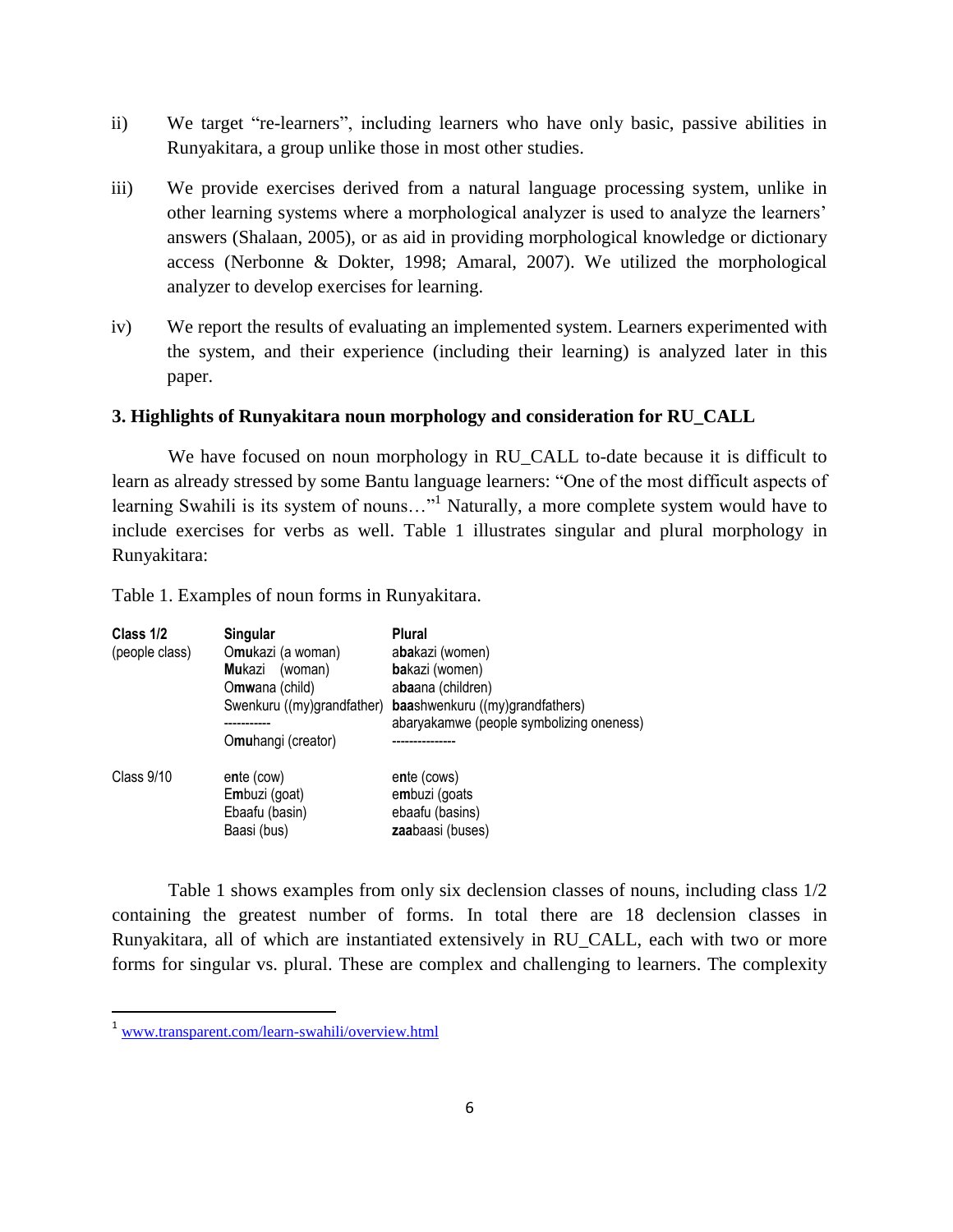- ii) We target "re-learners", including learners who have only basic, passive abilities in Runyakitara, a group unlike those in most other studies.
- iii) We provide exercises derived from a natural language processing system, unlike in other learning systems where a morphological analyzer is used to analyze the learners' answers (Shalaan, 2005), or as aid in providing morphological knowledge or dictionary access (Nerbonne & Dokter, 1998; Amaral, 2007). We utilized the morphological analyzer to develop exercises for learning.
- iv) We report the results of evaluating an implemented system. Learners experimented with the system, and their experience (including their learning) is analyzed later in this paper.

# **3. Highlights of Runyakitara noun morphology and consideration for RU\_CALL**

We have focused on noun morphology in RU\_CALL to-date because it is difficult to learn as already stressed by some Bantu language learners: "One of the most difficult aspects of learning Swahili is its system of nouns..."<sup>1</sup> Naturally, a more complete system would have to include exercises for verbs as well. Table 1 illustrates singular and plural morphology in Runyakitara:

Table 1. Examples of noun forms in Runyakitara.

| Class 1/2<br>(people class) | Singular<br>Omukazi (a woman)<br>Mukazi<br>(woman)<br>Omwana (child)<br>Swenkuru ((my)grandfather)<br>Omuhangi (creator) | <b>Plural</b><br>abakazi (women)<br>bakazi (women)<br>abaana (children)<br>baashwenkuru ((my)grandfathers)<br>abaryakamwe (people symbolizing oneness) |
|-----------------------------|--------------------------------------------------------------------------------------------------------------------------|--------------------------------------------------------------------------------------------------------------------------------------------------------|
| Class 9/10                  | ente (cow)<br>Embuzi (goat)<br>Ebaafu (basin)<br>Baasi (bus)                                                             | ente (cows)<br>embuzi (goats<br>ebaafu (basins)<br>zaabaasi (buses)                                                                                    |

Table 1 shows examples from only six declension classes of nouns, including class 1/2 containing the greatest number of forms. In total there are 18 declension classes in Runyakitara, all of which are instantiated extensively in RU\_CALL, each with two or more forms for singular vs. plural. These are complex and challenging to learners. The complexity

l

<sup>1</sup> [www.transparent.com/learn-swahili/overview.html](http://www.transparent.com/learn-swahili/overview.html)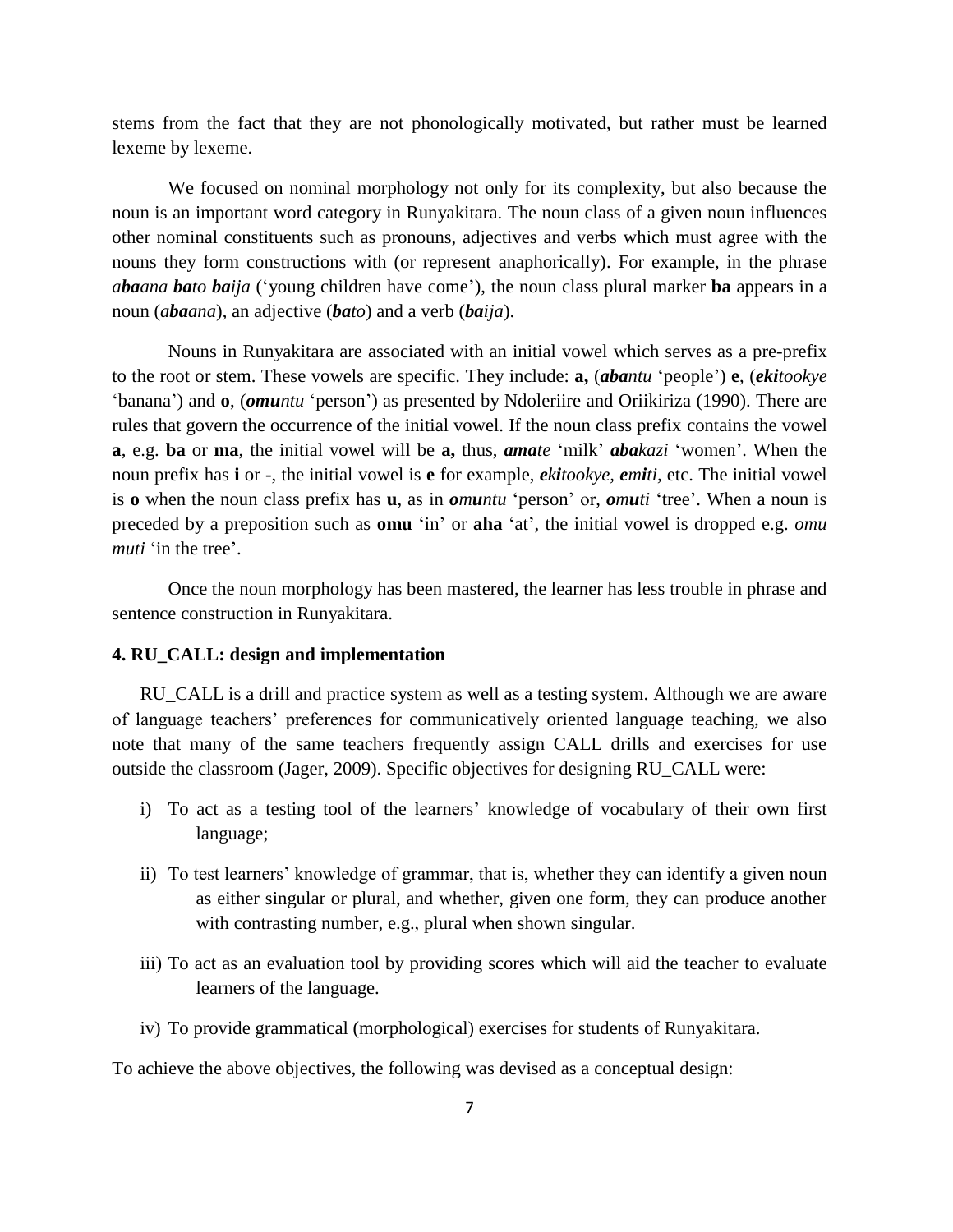stems from the fact that they are not phonologically motivated, but rather must be learned lexeme by lexeme.

We focused on nominal morphology not only for its complexity, but also because the noun is an important word category in Runyakitara. The noun class of a given noun influences other nominal constituents such as pronouns, adjectives and verbs which must agree with the nouns they form constructions with (or represent anaphorically). For example, in the phrase *abaana bato baija* ('young children have come'), the noun class plural marker **ba** appears in a noun (*abaana*), an adjective (*bato*) and a verb (*baija*).

Nouns in Runyakitara are associated with an initial vowel which serves as a pre-prefix to the root or stem. These vowels are specific. They include: **a,** (*abantu* 'people') **e**, (*ekitookye* 'banana') and **o**, (*omuntu* 'person') as presented by Ndoleriire and Oriikiriza (1990). There are rules that govern the occurrence of the initial vowel. If the noun class prefix contains the vowel **a**, e.g. **ba** or **ma**, the initial vowel will be **a,** thus, *amate* 'milk' *abakazi* 'women'. When the noun prefix has **i** or -, the initial vowel is **e** for example, *ekitookye, emiti,* etc. The initial vowel is **o** when the noun class prefix has **u**, as in *omuntu* 'person' or, *omuti* 'tree'. When a noun is preceded by a preposition such as **omu** 'in' or **aha** 'at', the initial vowel is dropped e.g. *omu muti* 'in the tree'.

Once the noun morphology has been mastered, the learner has less trouble in phrase and sentence construction in Runyakitara.

#### **4. RU\_CALL: design and implementation**

RU\_CALL is a drill and practice system as well as a testing system. Although we are aware of language teachers' preferences for communicatively oriented language teaching, we also note that many of the same teachers frequently assign CALL drills and exercises for use outside the classroom (Jager, 2009). Specific objectives for designing RU\_CALL were:

- i) To act as a testing tool of the learners' knowledge of vocabulary of their own first language;
- ii) To test learners' knowledge of grammar, that is, whether they can identify a given noun as either singular or plural, and whether, given one form, they can produce another with contrasting number, e.g., plural when shown singular.
- iii) To act as an evaluation tool by providing scores which will aid the teacher to evaluate learners of the language.
- iv) To provide grammatical (morphological) exercises for students of Runyakitara.

To achieve the above objectives, the following was devised as a conceptual design: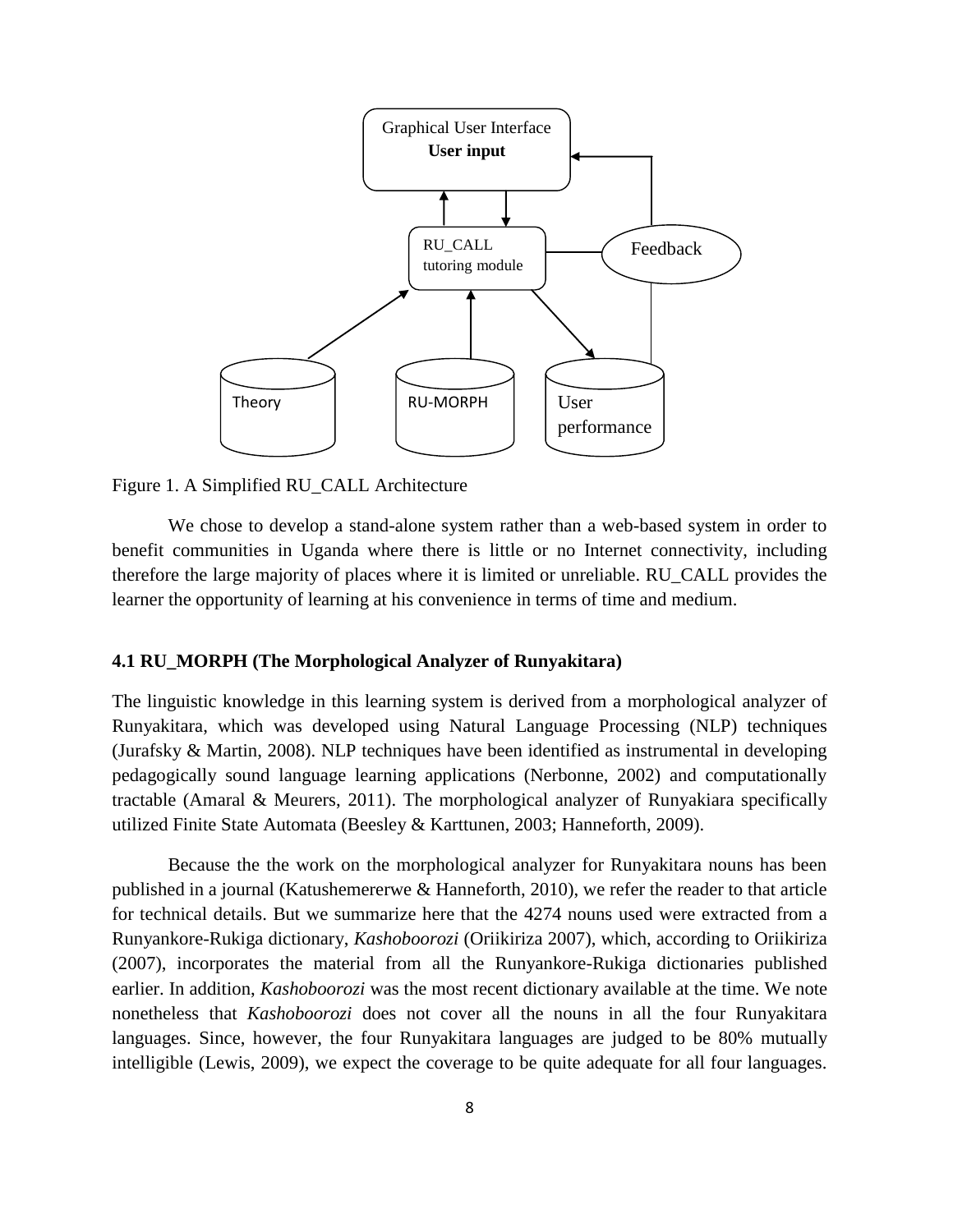

Figure 1. A Simplified RU\_CALL Architecture

We chose to develop a stand-alone system rather than a web-based system in order to benefit communities in Uganda where there is little or no Internet connectivity, including therefore the large majority of places where it is limited or unreliable. RU\_CALL provides the learner the opportunity of learning at his convenience in terms of time and medium.

### **4.1 RU\_MORPH (The Morphological Analyzer of Runyakitara)**

The linguistic knowledge in this learning system is derived from a morphological analyzer of Runyakitara, which was developed using Natural Language Processing (NLP) techniques (Jurafsky & Martin, 2008). NLP techniques have been identified as instrumental in developing pedagogically sound language learning applications (Nerbonne, 2002) and computationally tractable (Amaral & Meurers, 2011). The morphological analyzer of Runyakiara specifically utilized Finite State Automata (Beesley & Karttunen, 2003; Hanneforth, 2009).

Because the the work on the morphological analyzer for Runyakitara nouns has been published in a journal (Katushemererwe & Hanneforth, 2010), we refer the reader to that article for technical details. But we summarize here that the 4274 nouns used were extracted from a Runyankore-Rukiga dictionary, *Kashoboorozi* (Oriikiriza 2007), which, according to Oriikiriza (2007), incorporates the material from all the Runyankore-Rukiga dictionaries published earlier. In addition, *Kashoboorozi* was the most recent dictionary available at the time. We note nonetheless that *Kashoboorozi* does not cover all the nouns in all the four Runyakitara languages. Since, however, the four Runyakitara languages are judged to be 80% mutually intelligible (Lewis, 2009), we expect the coverage to be quite adequate for all four languages.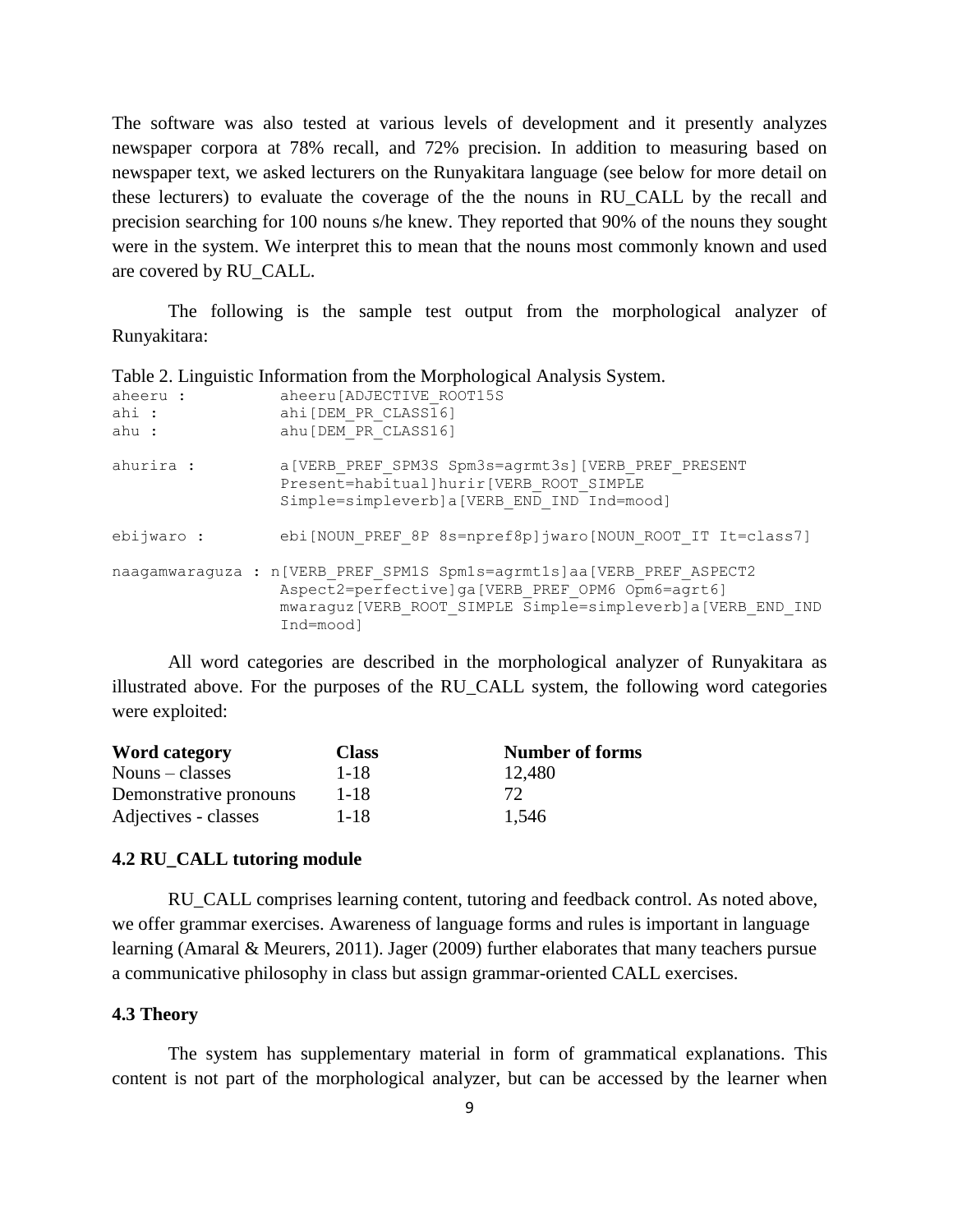The software was also tested at various levels of development and it presently analyzes newspaper corpora at 78% recall, and 72% precision. In addition to measuring based on newspaper text, we asked lecturers on the Runyakitara language (see below for more detail on these lecturers) to evaluate the coverage of the the nouns in RU\_CALL by the recall and precision searching for 100 nouns s/he knew. They reported that 90% of the nouns they sought were in the system. We interpret this to mean that the nouns most commonly known and used are covered by RU\_CALL.

The following is the sample test output from the morphological analyzer of Runyakitara:

| Twic 2. Emphablic momentum nom the morphological ruler follo by section |                                                                                                                                                                                                           |  |  |  |  |
|-------------------------------------------------------------------------|-----------------------------------------------------------------------------------------------------------------------------------------------------------------------------------------------------------|--|--|--|--|
| aheeru :<br>ahi :                                                       | aheeru [ADJECTIVE ROOT15S<br>ahi[DEM PR CLASS16]                                                                                                                                                          |  |  |  |  |
| ahu :                                                                   | ahu [DEM PR CLASS16]                                                                                                                                                                                      |  |  |  |  |
| ahurira :                                                               | a [VERB PREF SPM3S Spm3s=agrmt3s] [VERB PREF PRESENT<br>Present=habitual]hurir[VERB ROOT SIMPLE<br>Simple=simpleverb]a[VERB END IND Ind=mood]                                                             |  |  |  |  |
| ebijwaro :                                                              | ebi[NOUN PREF 8P 8s=npref8p]jwaro[NOUN ROOT IT It=class7]                                                                                                                                                 |  |  |  |  |
|                                                                         | naagamwaraguza : n [VERB PREF SPM1S Spm1s=agrmt1s]aa [VERB PREF ASPECT2<br>Aspect2=perfective]ga[VERB PREF OPM6 Opm6=agrt6]<br>mwaraguz [VERB ROOT SIMPLE Simple=simpleverb] a [VERB END IND<br>Ind=moodl |  |  |  |  |

Table 2. Linguistic Information from the Morphological Analysis System.

All word categories are described in the morphological analyzer of Runyakitara as illustrated above. For the purposes of the RU\_CALL system, the following word categories were exploited:

| Word category          | <b>Class</b> | <b>Number of forms</b> |
|------------------------|--------------|------------------------|
| $Nouns - classes$      | $1 - 18$     | 12,480                 |
| Demonstrative pronouns | 1-18         | $72^{\circ}$           |
| Adjectives - classes   | 1-18         | 1.546                  |

### **4.2 RU\_CALL tutoring module**

RU\_CALL comprises learning content, tutoring and feedback control. As noted above, we offer grammar exercises. Awareness of language forms and rules is important in language learning (Amaral & Meurers, 2011). Jager (2009) further elaborates that many teachers pursue a communicative philosophy in class but assign grammar-oriented CALL exercises.

#### **4.3 Theory**

The system has supplementary material in form of grammatical explanations. This content is not part of the morphological analyzer, but can be accessed by the learner when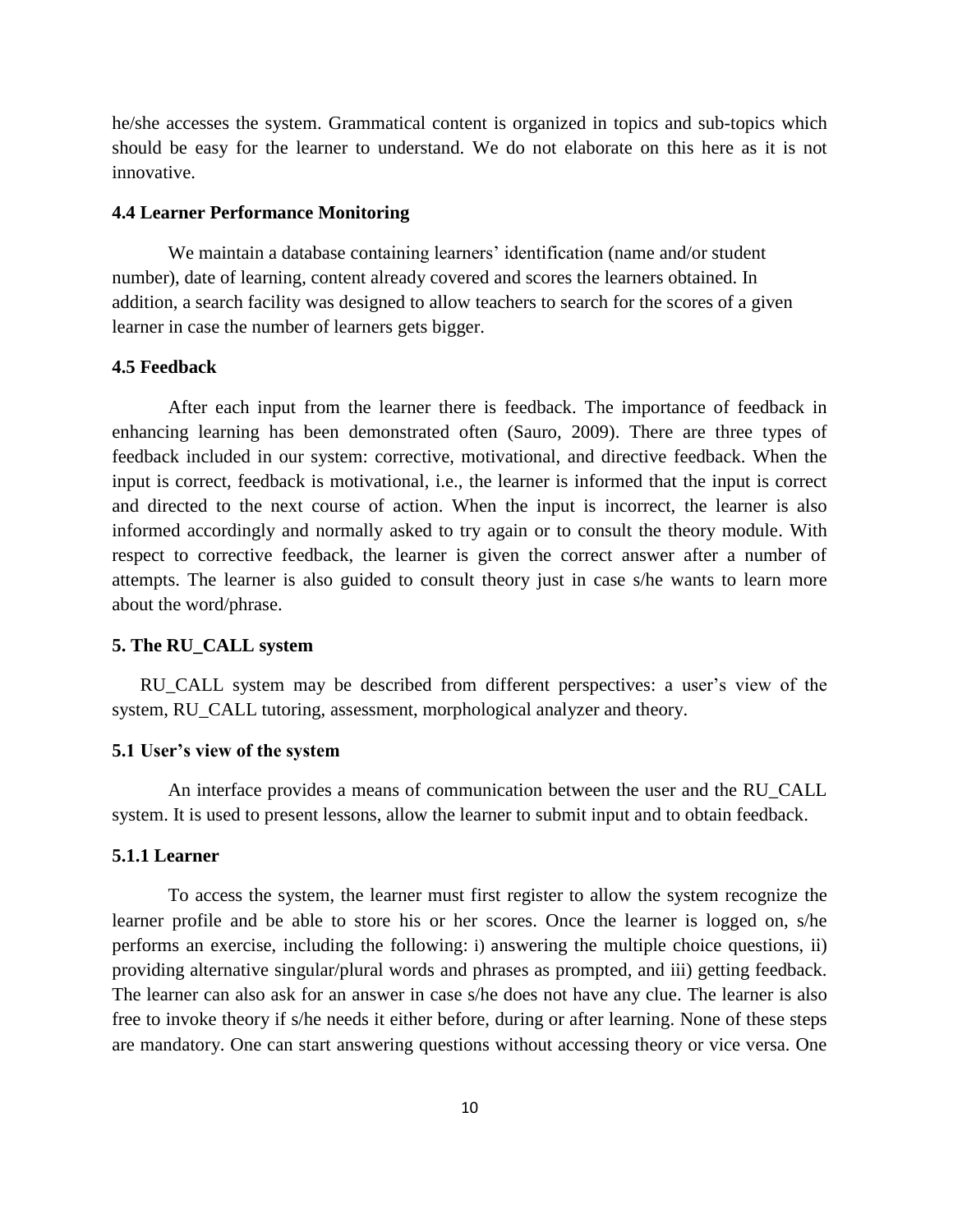he/she accesses the system. Grammatical content is organized in topics and sub-topics which should be easy for the learner to understand. We do not elaborate on this here as it is not innovative.

#### **4.4 Learner Performance Monitoring**

We maintain a database containing learners' identification (name and/or student number), date of learning, content already covered and scores the learners obtained. In addition, a search facility was designed to allow teachers to search for the scores of a given learner in case the number of learners gets bigger.

#### **4.5 Feedback**

After each input from the learner there is feedback. The importance of feedback in enhancing learning has been demonstrated often (Sauro, 2009). There are three types of feedback included in our system: corrective, motivational, and directive feedback. When the input is correct, feedback is motivational, i.e., the learner is informed that the input is correct and directed to the next course of action. When the input is incorrect, the learner is also informed accordingly and normally asked to try again or to consult the theory module. With respect to corrective feedback, the learner is given the correct answer after a number of attempts. The learner is also guided to consult theory just in case s/he wants to learn more about the word/phrase.

#### **5. The RU\_CALL system**

RU\_CALL system may be described from different perspectives: a user's view of the system, RU\_CALL tutoring, assessment, morphological analyzer and theory.

#### **5.1 User's view of the system**

An interface provides a means of communication between the user and the RU\_CALL system. It is used to present lessons, allow the learner to submit input and to obtain feedback.

## **5.1.1 Learner**

To access the system, the learner must first register to allow the system recognize the learner profile and be able to store his or her scores. Once the learner is logged on, s/he performs an exercise, including the following: i) answering the multiple choice questions, ii) providing alternative singular/plural words and phrases as prompted, and iii) getting feedback. The learner can also ask for an answer in case s/he does not have any clue. The learner is also free to invoke theory if s/he needs it either before, during or after learning. None of these steps are mandatory. One can start answering questions without accessing theory or vice versa. One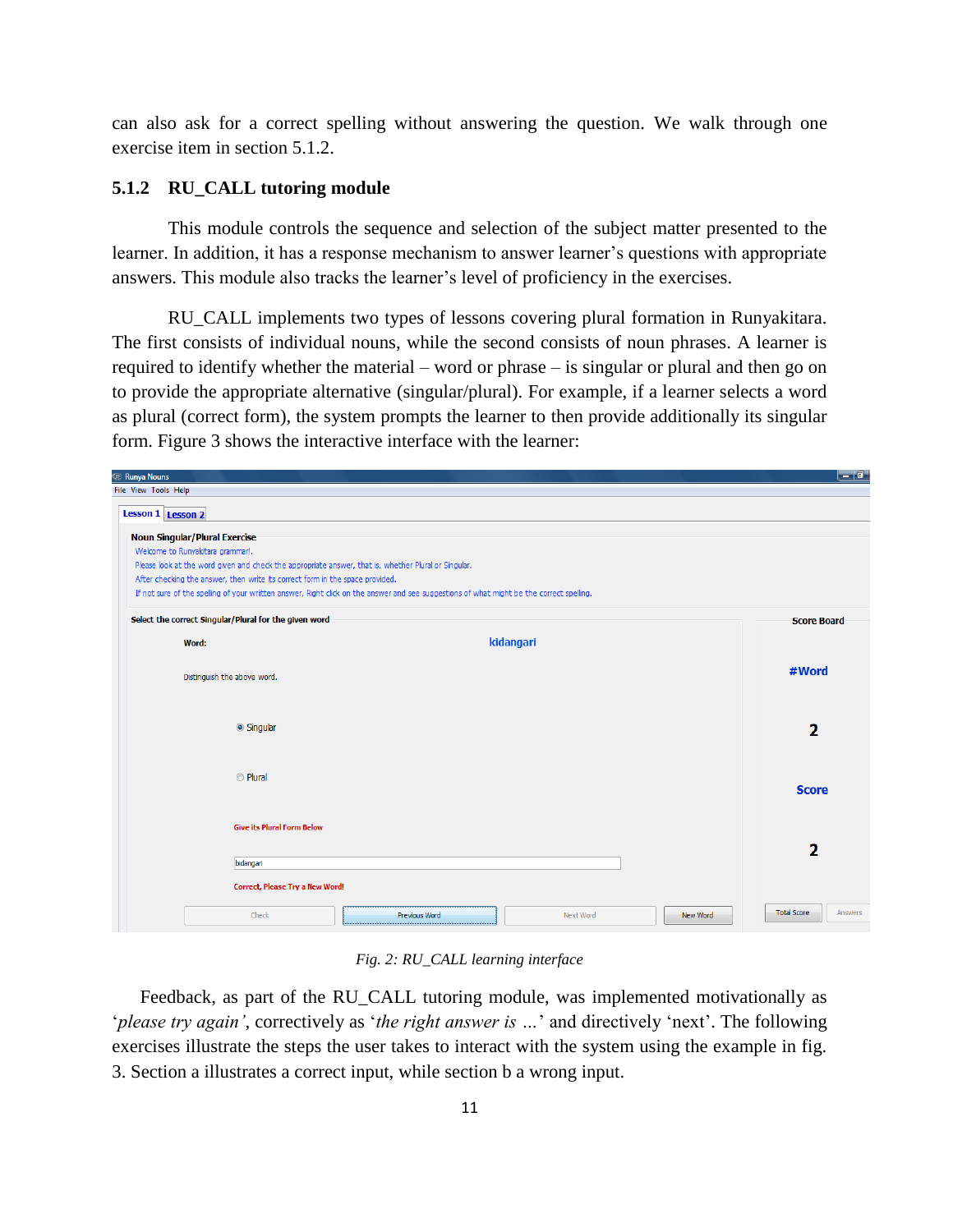can also ask for a correct spelling without answering the question. We walk through one exercise item in section 5.1.2.

### **5.1.2 RU\_CALL tutoring module**

This module controls the sequence and selection of the subject matter presented to the learner. In addition, it has a response mechanism to answer learner's questions with appropriate answers. This module also tracks the learner's level of proficiency in the exercises.

RU\_CALL implements two types of lessons covering plural formation in Runyakitara. The first consists of individual nouns, while the second consists of noun phrases. A learner is required to identify whether the material – word or phrase – is singular or plural and then go on to provide the appropriate alternative (singular/plural). For example, if a learner selects a word as plural (correct form), the system prompts the learner to then provide additionally its singular form. Figure 3 shows the interactive interface with the learner:

| <b>The Runya Nouns</b>                                                                                                                    |           |          |                         | $-$ 0 $\,$ |
|-------------------------------------------------------------------------------------------------------------------------------------------|-----------|----------|-------------------------|------------|
| File View Tools Help                                                                                                                      |           |          |                         |            |
| Lesson 1 Lesson 2                                                                                                                         |           |          |                         |            |
| Noun Singular/Plural Exercise                                                                                                             |           |          |                         |            |
| Welcome to Runyakitara grammar!.                                                                                                          |           |          |                         |            |
| Please look at the word given and check the appropriate answer, that is, whether Plural or Singular.                                      |           |          |                         |            |
| After checking the answer, then write its correct form in the space provided.                                                             |           |          |                         |            |
| If not sure of the spelling of your wriitten answer, Right click on the answer and see suggestions of what might be the correct spelling. |           |          |                         |            |
| Select the correct Singular/Plural for the given word                                                                                     |           |          | <b>Score Board</b>      |            |
| Word:                                                                                                                                     | kidangari |          |                         |            |
|                                                                                                                                           |           |          | #Word                   |            |
| Distinguish the above word.                                                                                                               |           |          |                         |            |
|                                                                                                                                           |           |          |                         |            |
| Singular                                                                                                                                  |           |          | $\overline{\mathbf{2}}$ |            |
|                                                                                                                                           |           |          |                         |            |
| <b>O</b> Plural                                                                                                                           |           |          |                         |            |
|                                                                                                                                           |           |          | <b>Score</b>            |            |
|                                                                                                                                           |           |          |                         |            |
| <b>Give its Plural Form Below</b>                                                                                                         |           |          |                         |            |
|                                                                                                                                           |           |          | 2                       |            |
| bidangari                                                                                                                                 |           |          |                         |            |
| Correct, Please Try a New Word!                                                                                                           |           |          |                         |            |
| Check<br>Previous Word                                                                                                                    | Next Word | New Word | <b>Total Score</b>      | Answers    |
|                                                                                                                                           |           |          |                         |            |

*Fig. 2: RU\_CALL learning interface*

Feedback, as part of the RU\_CALL tutoring module, was implemented motivationally as '*please try again'*, correctively as '*the right answer is …*' and directively 'next'. The following exercises illustrate the steps the user takes to interact with the system using the example in fig. 3. Section a illustrates a correct input, while section b a wrong input.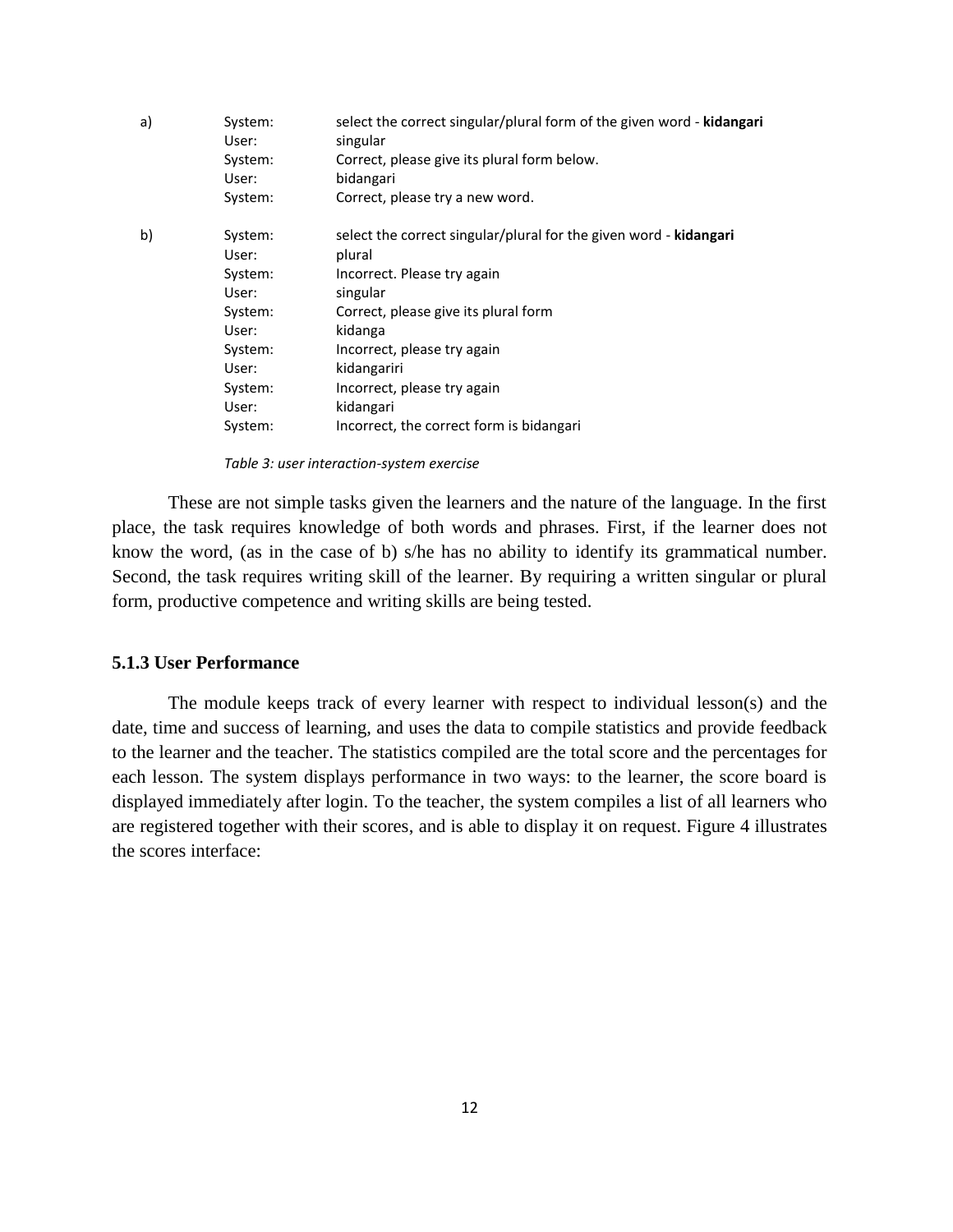| a) | System:<br>User: | select the correct singular/plural form of the given word - kidangari<br>singular |
|----|------------------|-----------------------------------------------------------------------------------|
|    | System:          | Correct, please give its plural form below.                                       |
|    | User:            | bidangari                                                                         |
|    | System:          | Correct, please try a new word.                                                   |
| b) | System:          | select the correct singular/plural for the given word - kidangari                 |
|    | User:            | plural                                                                            |
|    | System:          | Incorrect. Please try again                                                       |
|    | User:            | singular                                                                          |
|    | System:          | Correct, please give its plural form                                              |
|    | User:            | kidanga                                                                           |
|    | System:          | Incorrect, please try again                                                       |
|    | User:            | kidangariri                                                                       |
|    | System:          | Incorrect, please try again                                                       |
|    | User:            | kidangari                                                                         |
|    | System:          | Incorrect, the correct form is bidangari                                          |
|    |                  |                                                                                   |

*Table 3: user interaction-system exercise*

These are not simple tasks given the learners and the nature of the language. In the first place, the task requires knowledge of both words and phrases. First, if the learner does not know the word, (as in the case of b) s/he has no ability to identify its grammatical number. Second, the task requires writing skill of the learner. By requiring a written singular or plural form, productive competence and writing skills are being tested.

### **5.1.3 User Performance**

The module keeps track of every learner with respect to individual lesson(s) and the date, time and success of learning, and uses the data to compile statistics and provide feedback to the learner and the teacher. The statistics compiled are the total score and the percentages for each lesson. The system displays performance in two ways: to the learner, the score board is displayed immediately after login. To the teacher, the system compiles a list of all learners who are registered together with their scores, and is able to display it on request. Figure 4 illustrates the scores interface: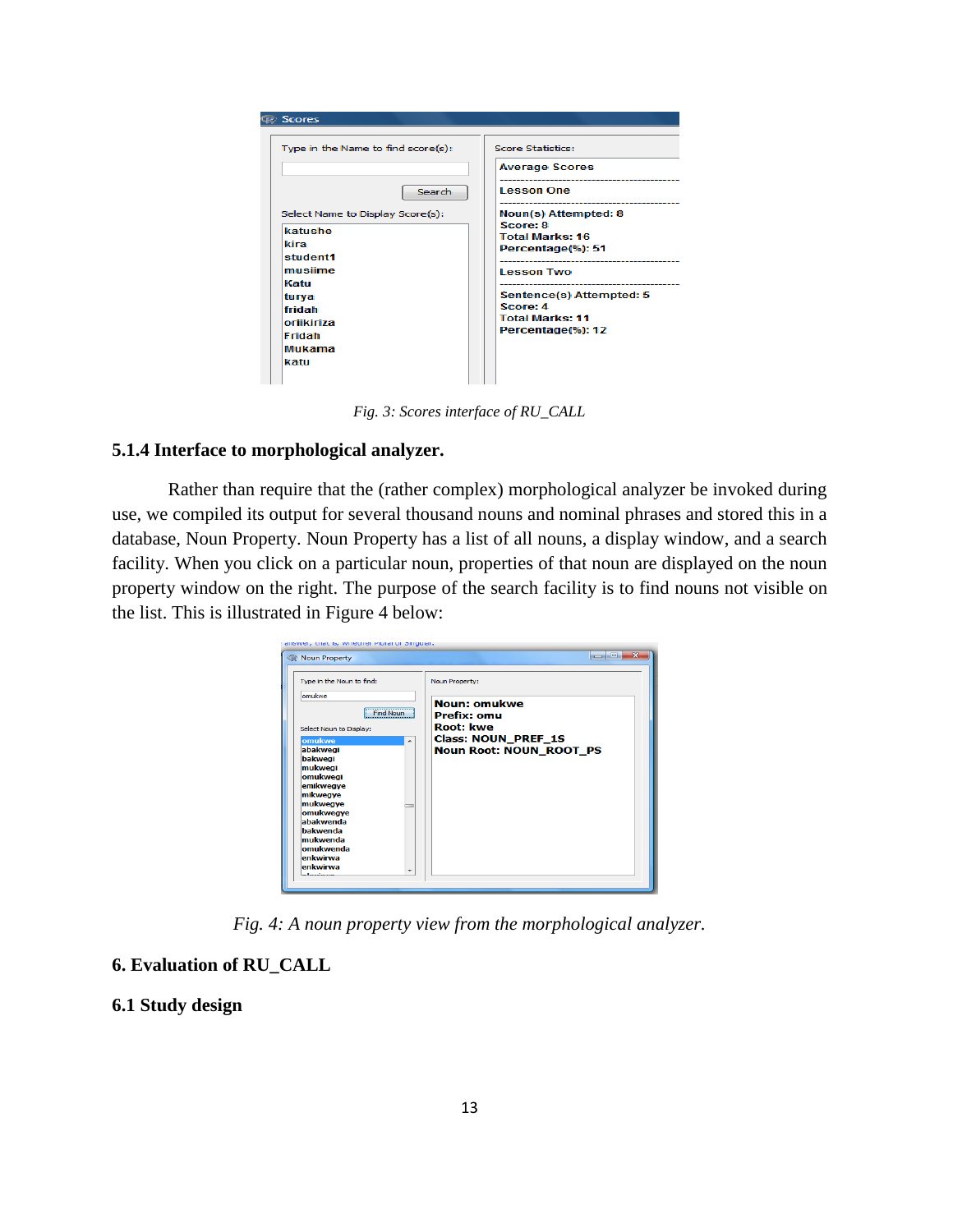| <b>T</b> Scores                    |                          |
|------------------------------------|--------------------------|
| Type in the Name to find score(s): | Score Statistics:        |
|                                    | <b>Average Scores</b>    |
| Search                             | <b>Lesson One</b>        |
| Select Name to Display Score(s):   | Noun(s) Attempted: 8     |
| katushe                            | Score: 8                 |
|                                    | <b>Total Marks: 16</b>   |
| kira                               | Percentage(%): 51        |
| student1                           |                          |
| musiime                            | <b>Lesson Two</b>        |
| Katu                               |                          |
| turya                              | Sentence(s) Attempted: 5 |
| fridah                             | Score: 4                 |
| oriikiriza                         | <b>Total Marks: 11</b>   |
| Fridah                             | Percentage(%): 12        |
|                                    |                          |
| Mukama                             |                          |
| katu                               |                          |

*Fig. 3: Scores interface of RU\_CALL*

## **5.1.4 Interface to morphological analyzer.**

Rather than require that the (rather complex) morphological analyzer be invoked during use, we compiled its output for several thousand nouns and nominal phrases and stored this in a database, Noun Property. Noun Property has a list of all nouns, a display window, and a search facility. When you click on a particular noun, properties of that noun are displayed on the noun property window on the right. The purpose of the search facility is to find nouns not visible on the list. This is illustrated in Figure 4 below:



*Fig. 4: A noun property view from the morphological analyzer.*

# **6. Evaluation of RU\_CALL**

# **6.1 Study design**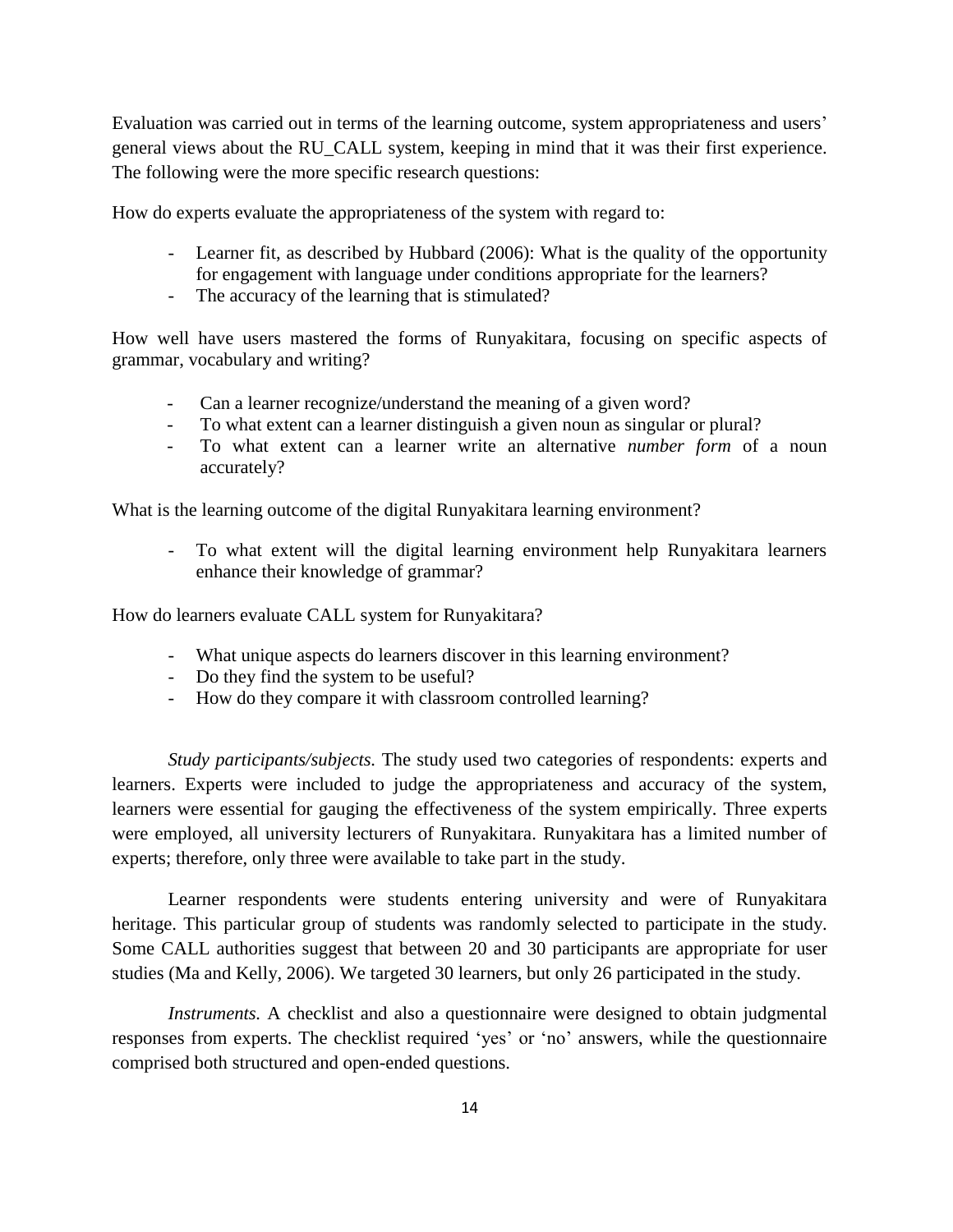Evaluation was carried out in terms of the learning outcome, system appropriateness and users' general views about the RU\_CALL system, keeping in mind that it was their first experience. The following were the more specific research questions:

How do experts evaluate the appropriateness of the system with regard to:

- Learner fit, as described by Hubbard (2006): What is the quality of the opportunity for engagement with language under conditions appropriate for the learners?
- The accuracy of the learning that is stimulated?

How well have users mastered the forms of Runyakitara, focusing on specific aspects of grammar, vocabulary and writing?

- Can a learner recognize/understand the meaning of a given word?
- To what extent can a learner distinguish a given noun as singular or plural?
- To what extent can a learner write an alternative *number form* of a noun accurately?

What is the learning outcome of the digital Runyakitara learning environment?

- To what extent will the digital learning environment help Runyakitara learners enhance their knowledge of grammar?

How do learners evaluate CALL system for Runyakitara?

- What unique aspects do learners discover in this learning environment?
- Do they find the system to be useful?
- How do they compare it with classroom controlled learning?

*Study participants/subjects.* The study used two categories of respondents: experts and learners. Experts were included to judge the appropriateness and accuracy of the system, learners were essential for gauging the effectiveness of the system empirically. Three experts were employed, all university lecturers of Runyakitara. Runyakitara has a limited number of experts; therefore, only three were available to take part in the study.

Learner respondents were students entering university and were of Runyakitara heritage. This particular group of students was randomly selected to participate in the study. Some CALL authorities suggest that between 20 and 30 participants are appropriate for user studies (Ma and Kelly, 2006). We targeted 30 learners, but only 26 participated in the study.

*Instruments.* A checklist and also a questionnaire were designed to obtain judgmental responses from experts. The checklist required 'yes' or 'no' answers, while the questionnaire comprised both structured and open-ended questions.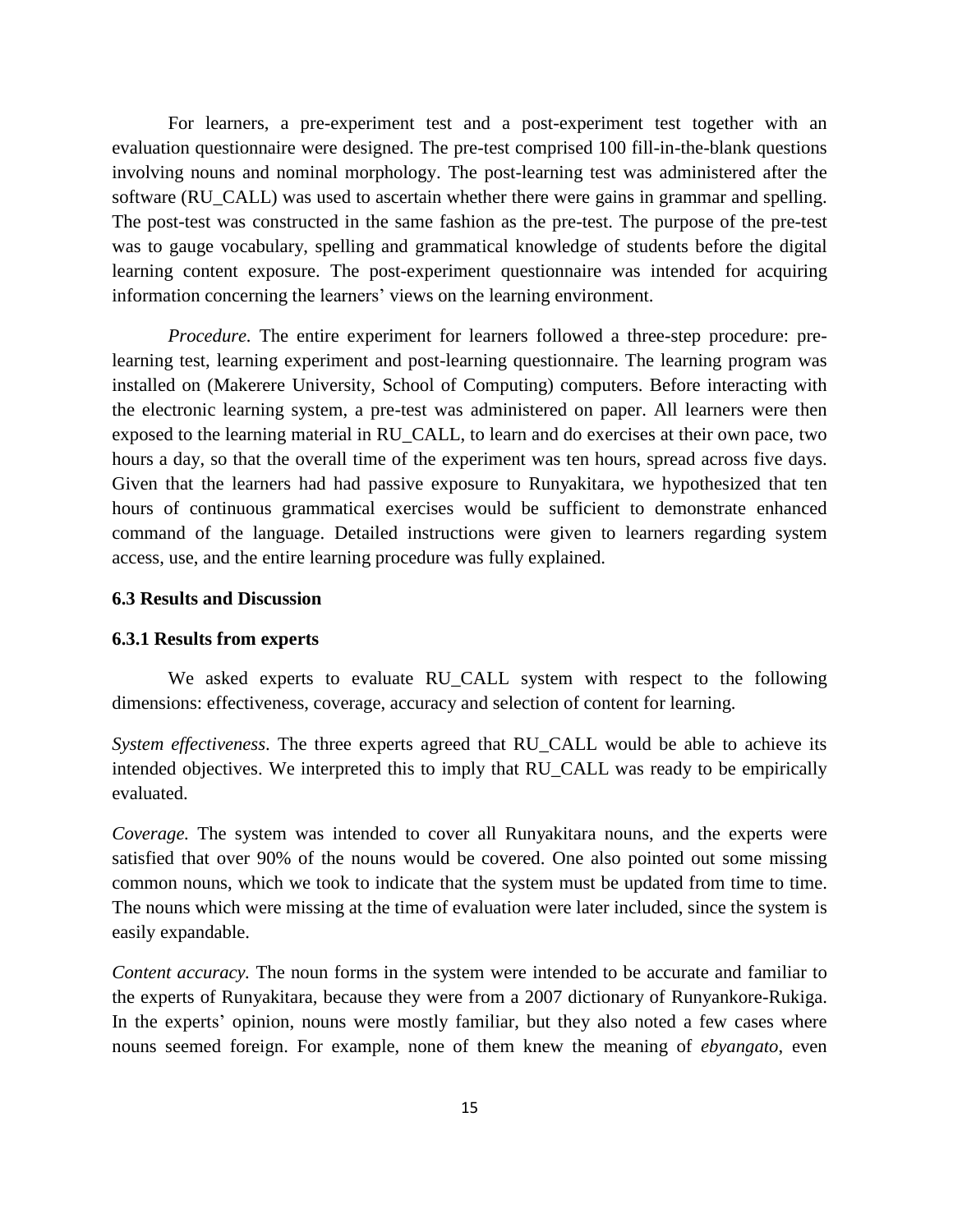For learners, a pre-experiment test and a post-experiment test together with an evaluation questionnaire were designed. The pre-test comprised 100 fill-in-the-blank questions involving nouns and nominal morphology. The post-learning test was administered after the software (RU\_CALL) was used to ascertain whether there were gains in grammar and spelling. The post-test was constructed in the same fashion as the pre-test. The purpose of the pre-test was to gauge vocabulary, spelling and grammatical knowledge of students before the digital learning content exposure. The post-experiment questionnaire was intended for acquiring information concerning the learners' views on the learning environment.

*Procedure.* The entire experiment for learners followed a three-step procedure: prelearning test, learning experiment and post-learning questionnaire. The learning program was installed on (Makerere University, School of Computing) computers. Before interacting with the electronic learning system, a pre-test was administered on paper. All learners were then exposed to the learning material in RU\_CALL, to learn and do exercises at their own pace, two hours a day, so that the overall time of the experiment was ten hours, spread across five days. Given that the learners had had passive exposure to Runyakitara, we hypothesized that ten hours of continuous grammatical exercises would be sufficient to demonstrate enhanced command of the language. Detailed instructions were given to learners regarding system access, use, and the entire learning procedure was fully explained.

### **6.3 Results and Discussion**

#### **6.3.1 Results from experts**

We asked experts to evaluate RU\_CALL system with respect to the following dimensions: effectiveness, coverage, accuracy and selection of content for learning.

*System effectiveness*. The three experts agreed that RU\_CALL would be able to achieve its intended objectives. We interpreted this to imply that RU\_CALL was ready to be empirically evaluated.

*Coverage.* The system was intended to cover all Runyakitara nouns, and the experts were satisfied that over 90% of the nouns would be covered. One also pointed out some missing common nouns, which we took to indicate that the system must be updated from time to time. The nouns which were missing at the time of evaluation were later included, since the system is easily expandable.

*Content accuracy.* The noun forms in the system were intended to be accurate and familiar to the experts of Runyakitara, because they were from a 2007 dictionary of Runyankore-Rukiga. In the experts' opinion, nouns were mostly familiar, but they also noted a few cases where nouns seemed foreign. For example, none of them knew the meaning of *ebyangato*, even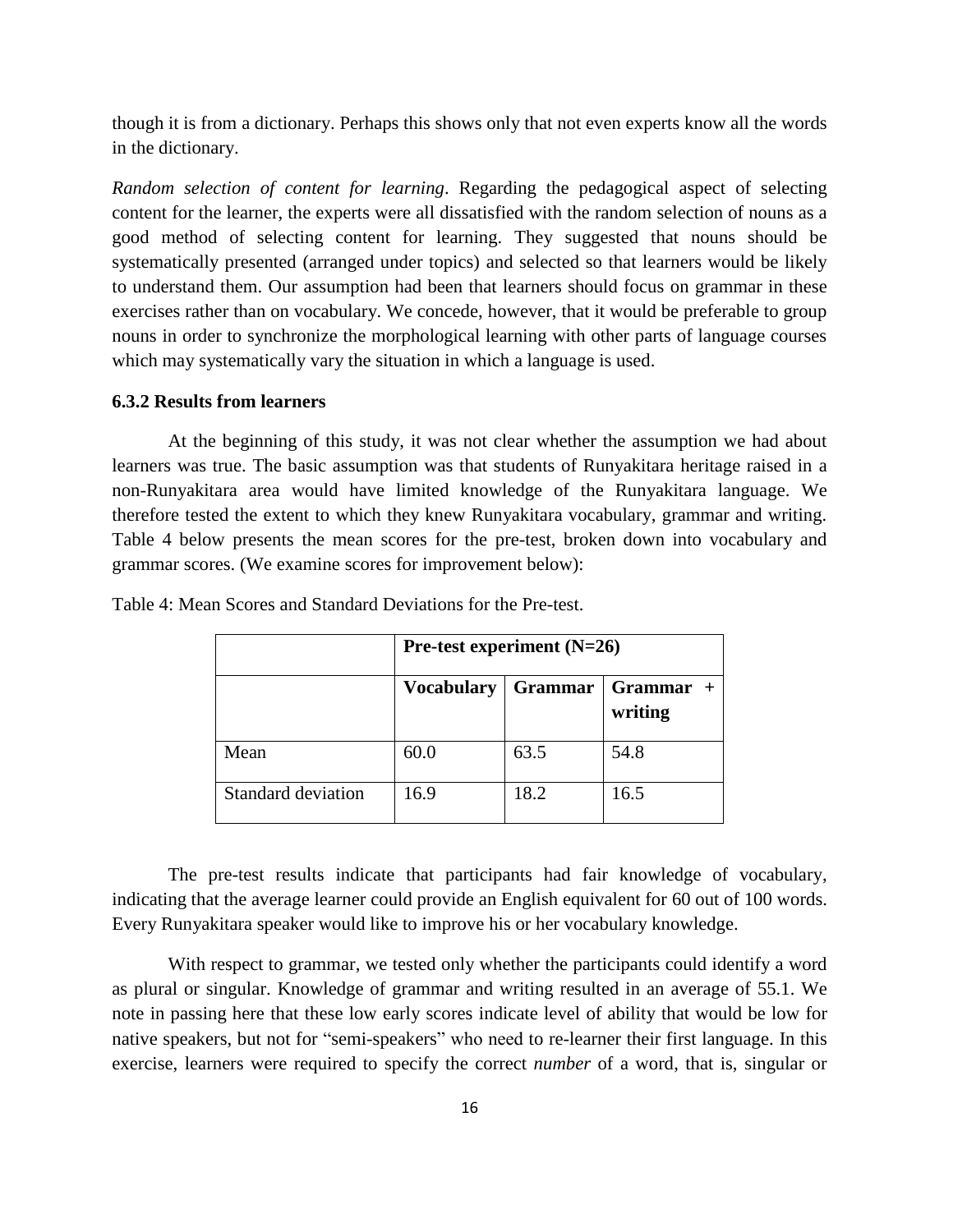though it is from a dictionary. Perhaps this shows only that not even experts know all the words in the dictionary.

*Random selection of content for learning*. Regarding the pedagogical aspect of selecting content for the learner, the experts were all dissatisfied with the random selection of nouns as a good method of selecting content for learning. They suggested that nouns should be systematically presented (arranged under topics) and selected so that learners would be likely to understand them. Our assumption had been that learners should focus on grammar in these exercises rather than on vocabulary. We concede, however, that it would be preferable to group nouns in order to synchronize the morphological learning with other parts of language courses which may systematically vary the situation in which a language is used.

#### **6.3.2 Results from learners**

At the beginning of this study, it was not clear whether the assumption we had about learners was true. The basic assumption was that students of Runyakitara heritage raised in a non-Runyakitara area would have limited knowledge of the Runyakitara language. We therefore tested the extent to which they knew Runyakitara vocabulary, grammar and writing. Table 4 below presents the mean scores for the pre-test, broken down into vocabulary and grammar scores. (We examine scores for improvement below):

|                    | Pre-test experiment $(N=26)$ |         |                      |  |
|--------------------|------------------------------|---------|----------------------|--|
|                    | <b>Vocabulary</b>            | Grammar | Grammar +<br>writing |  |
| Mean               | 60.0                         | 63.5    | 54.8                 |  |
| Standard deviation | 16.9                         | 18.2    | 16.5                 |  |

Table 4: Mean Scores and Standard Deviations for the Pre-test.

The pre-test results indicate that participants had fair knowledge of vocabulary, indicating that the average learner could provide an English equivalent for 60 out of 100 words. Every Runyakitara speaker would like to improve his or her vocabulary knowledge.

With respect to grammar, we tested only whether the participants could identify a word as plural or singular. Knowledge of grammar and writing resulted in an average of 55.1. We note in passing here that these low early scores indicate level of ability that would be low for native speakers, but not for "semi-speakers" who need to re-learner their first language. In this exercise, learners were required to specify the correct *number* of a word, that is, singular or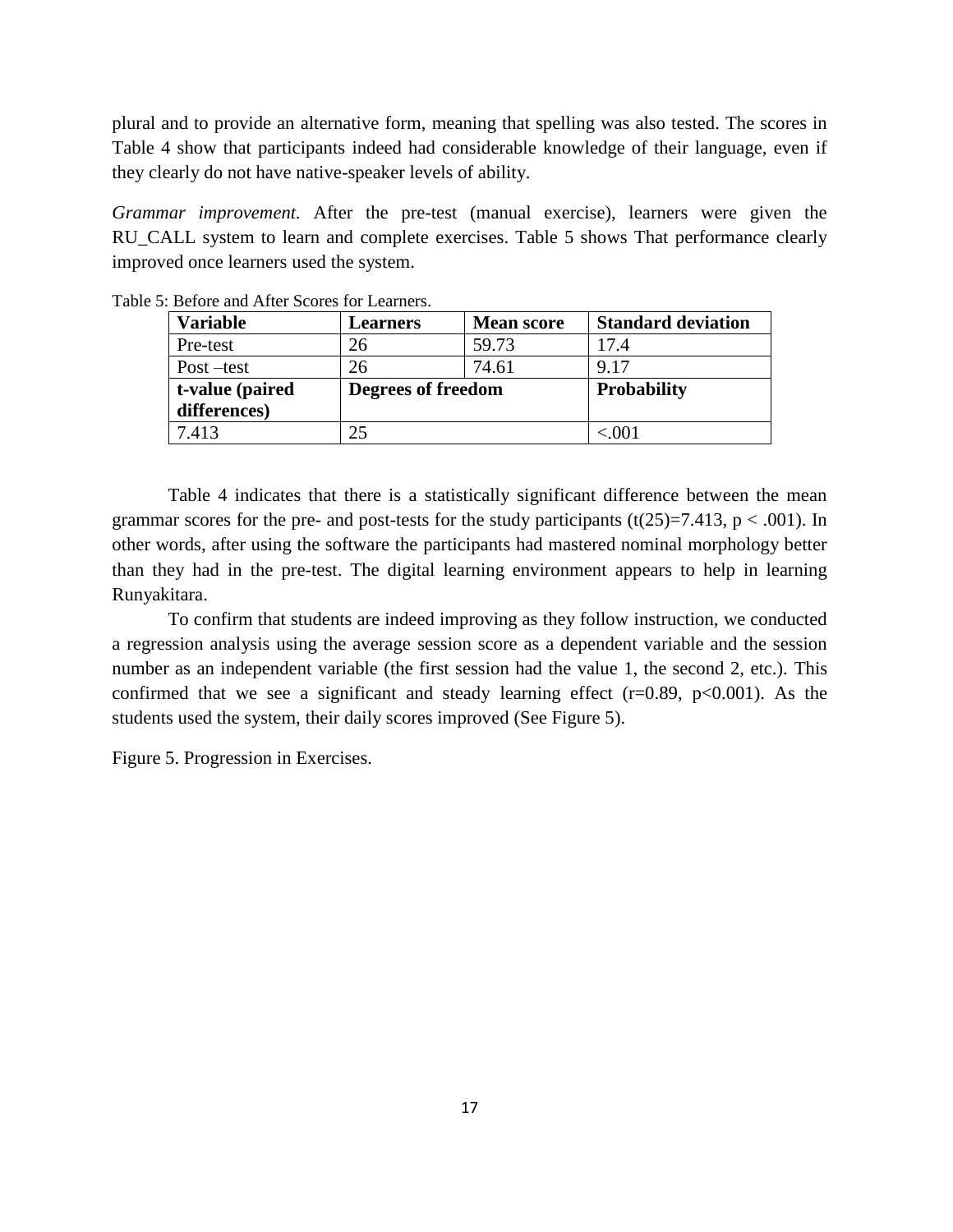plural and to provide an alternative form, meaning that spelling was also tested. The scores in Table 4 show that participants indeed had considerable knowledge of their language, even if they clearly do not have native-speaker levels of ability.

*Grammar improvement.* After the pre-test (manual exercise), learners were given the RU\_CALL system to learn and complete exercises. Table 5 shows That performance clearly improved once learners used the system.

| <b>Variable</b> | <b>Learners</b>    | <b>Mean score</b> | <b>Standard deviation</b> |
|-----------------|--------------------|-------------------|---------------------------|
| Pre-test        | 26                 | 59.73             | 17.4                      |
| $Post - test$   | 26                 | 74.61             | 9.17                      |
| t-value (paired | Degrees of freedom |                   | <b>Probability</b>        |
| differences)    |                    |                   |                           |
| 7.413           | 25                 |                   | < 001                     |

Table 5: Before and After Scores for Learners.

Table 4 indicates that there is a statistically significant difference between the mean grammar scores for the pre- and post-tests for the study participants (t(25)=7.413, p < .001). In other words, after using the software the participants had mastered nominal morphology better than they had in the pre-test. The digital learning environment appears to help in learning Runyakitara.

To confirm that students are indeed improving as they follow instruction, we conducted a regression analysis using the average session score as a dependent variable and the session number as an independent variable (the first session had the value 1, the second 2, etc.). This confirmed that we see a significant and steady learning effect  $(r=0.89, p<0.001)$ . As the students used the system, their daily scores improved (See Figure 5).

Figure 5. Progression in Exercises.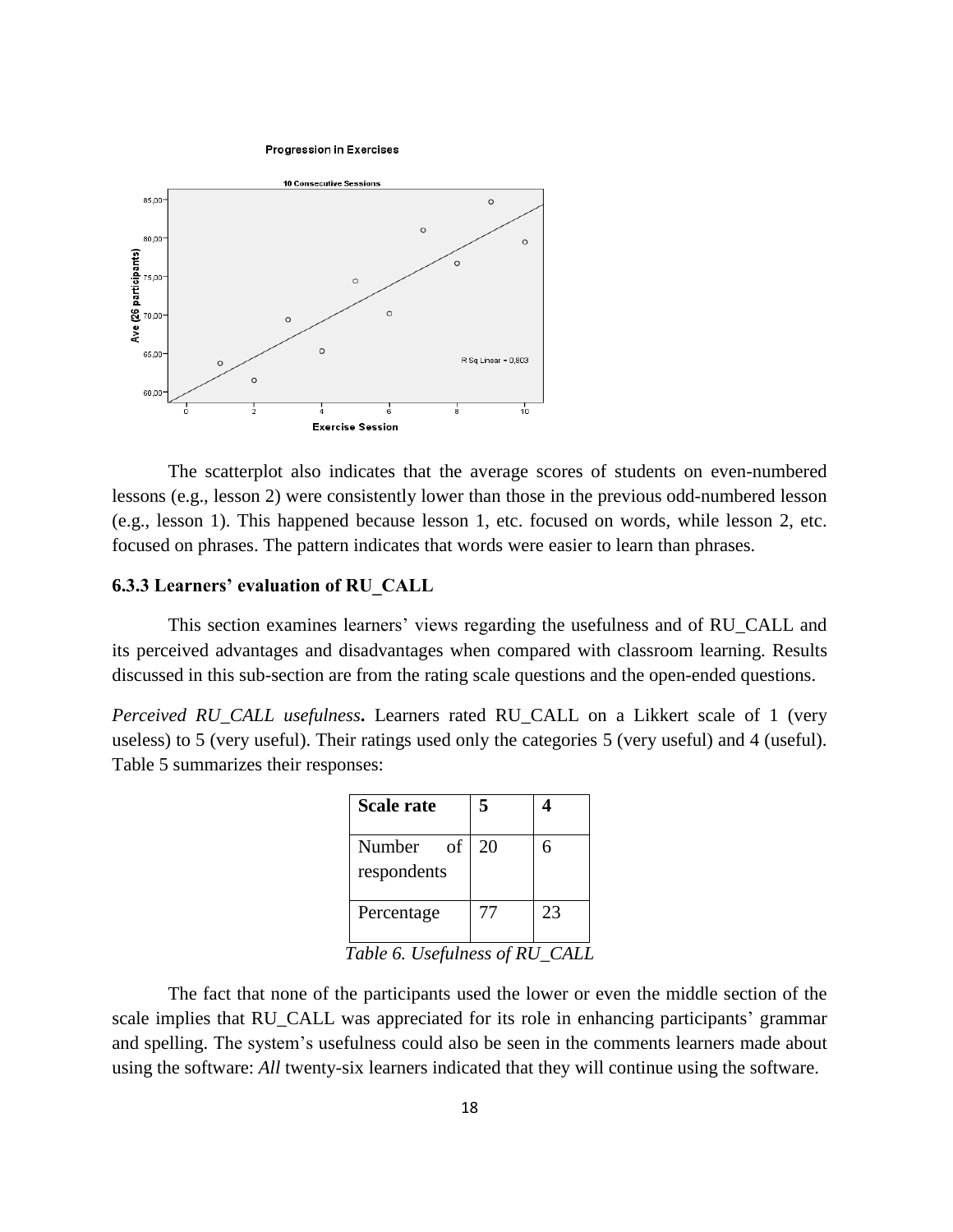**Progression in Exercises** 



The scatterplot also indicates that the average scores of students on even-numbered lessons (e.g., lesson 2) were consistently lower than those in the previous odd-numbered lesson (e.g., lesson 1). This happened because lesson 1, etc. focused on words, while lesson 2, etc. focused on phrases. The pattern indicates that words were easier to learn than phrases.

#### **6.3.3 Learners' evaluation of RU\_CALL**

This section examines learners' views regarding the usefulness and of RU\_CALL and its perceived advantages and disadvantages when compared with classroom learning. Results discussed in this sub-section are from the rating scale questions and the open-ended questions.

*Perceived RU\_CALL usefulness***.** Learners rated RU\_CALL on a Likkert scale of 1 (very useless) to 5 (very useful). Their ratings used only the categories 5 (very useful) and 4 (useful). Table 5 summarizes their responses:

| <b>Scale rate</b>           | 5  |    |
|-----------------------------|----|----|
| Number<br>of<br>respondents | 20 | 6  |
| Percentage                  | 77 | 23 |

*Table 6. Usefulness of RU\_CALL*

The fact that none of the participants used the lower or even the middle section of the scale implies that RU\_CALL was appreciated for its role in enhancing participants' grammar and spelling. The system's usefulness could also be seen in the comments learners made about using the software: *All* twenty-six learners indicated that they will continue using the software.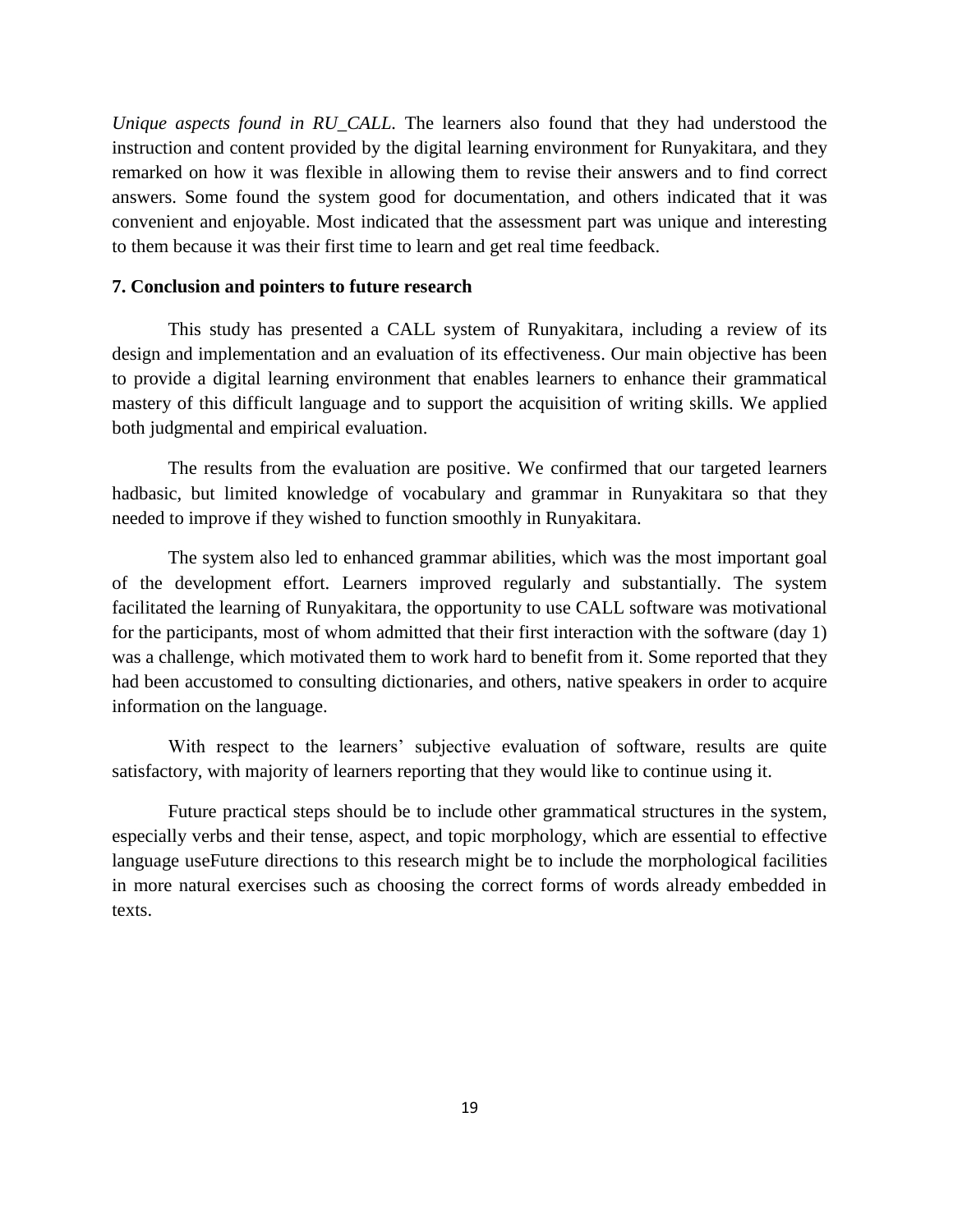*Unique aspects found in RU\_CALL.* The learners also found that they had understood the instruction and content provided by the digital learning environment for Runyakitara, and they remarked on how it was flexible in allowing them to revise their answers and to find correct answers. Some found the system good for documentation, and others indicated that it was convenient and enjoyable. Most indicated that the assessment part was unique and interesting to them because it was their first time to learn and get real time feedback.

#### **7. Conclusion and pointers to future research**

This study has presented a CALL system of Runyakitara, including a review of its design and implementation and an evaluation of its effectiveness. Our main objective has been to provide a digital learning environment that enables learners to enhance their grammatical mastery of this difficult language and to support the acquisition of writing skills. We applied both judgmental and empirical evaluation.

The results from the evaluation are positive. We confirmed that our targeted learners hadbasic, but limited knowledge of vocabulary and grammar in Runyakitara so that they needed to improve if they wished to function smoothly in Runyakitara.

The system also led to enhanced grammar abilities, which was the most important goal of the development effort. Learners improved regularly and substantially. The system facilitated the learning of Runyakitara, the opportunity to use CALL software was motivational for the participants, most of whom admitted that their first interaction with the software (day 1) was a challenge, which motivated them to work hard to benefit from it. Some reported that they had been accustomed to consulting dictionaries, and others, native speakers in order to acquire information on the language.

With respect to the learners' subjective evaluation of software, results are quite satisfactory, with majority of learners reporting that they would like to continue using it.

Future practical steps should be to include other grammatical structures in the system, especially verbs and their tense, aspect, and topic morphology, which are essential to effective language useFuture directions to this research might be to include the morphological facilities in more natural exercises such as choosing the correct forms of words already embedded in texts.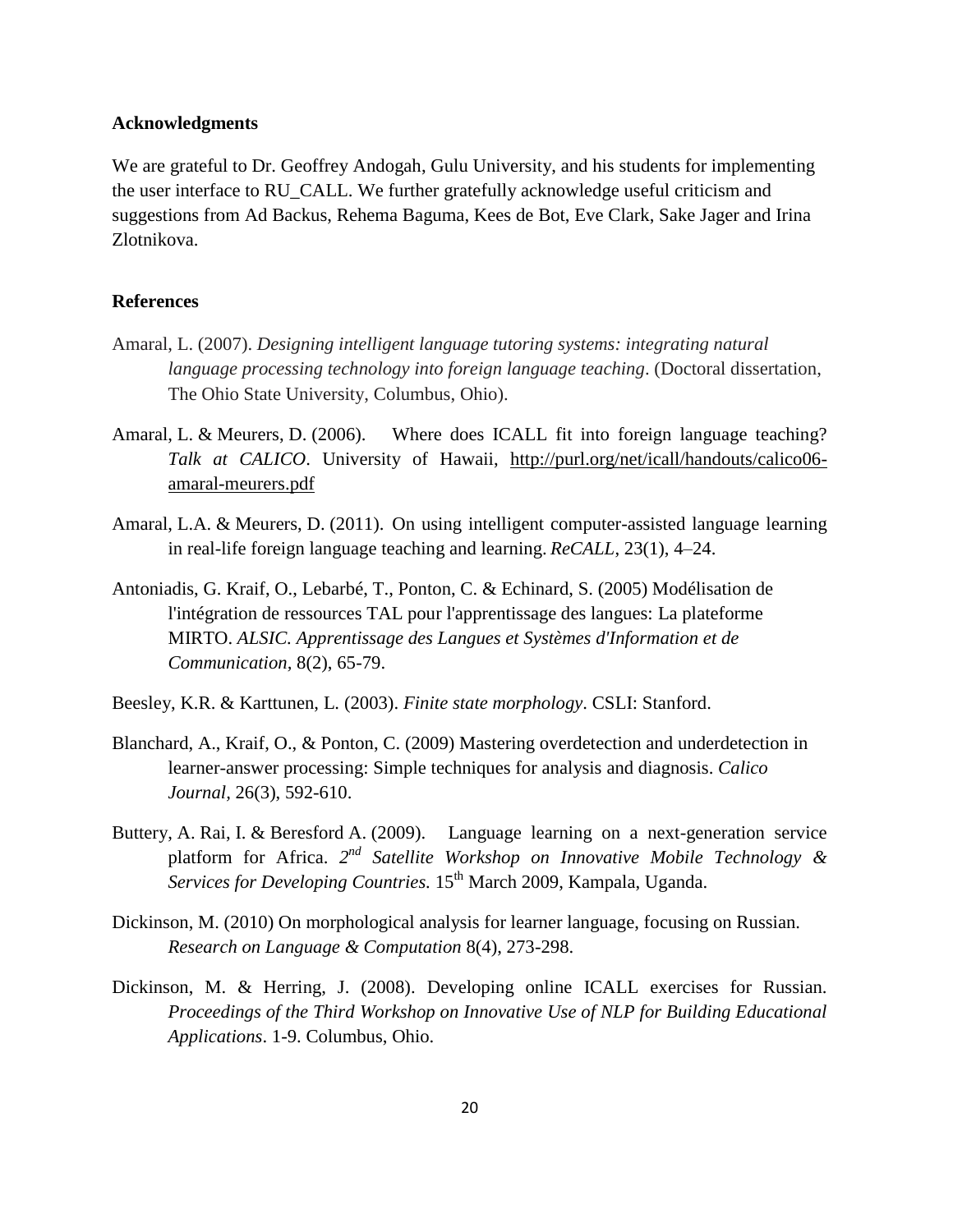### **Acknowledgments**

We are grateful to Dr. Geoffrey Andogah, Gulu University, and his students for implementing the user interface to RU\_CALL. We further gratefully acknowledge useful criticism and suggestions from Ad Backus, Rehema Baguma, Kees de Bot, Eve Clark, Sake Jager and Irina Zlotnikova.

### **References**

- Amaral, L. (2007). *Designing intelligent language tutoring systems: integrating natural language processing technology into foreign language teaching*. (Doctoral dissertation, The Ohio State University, Columbus, Ohio).
- Amaral, L. & Meurers, D. (2006). Where does ICALL fit into foreign language teaching? *Talk at CALICO*. University of Hawaii, [http://purl.org/net/icall/handouts/calico06](http://purl.org/net/icall/handouts/calico06-amaral-meurers.pdf) [amaral-meurers.pdf](http://purl.org/net/icall/handouts/calico06-amaral-meurers.pdf)
- Amaral, L.A. & Meurers, D. (2011). On using intelligent computer-assisted language learning in real-life foreign language teaching and learning. *ReCALL*, 23(1), 4–24.
- Antoniadis, G. Kraif, O., Lebarbé, T., Ponton, C. & Echinard, S. (2005) Modélisation de l'intégration de ressources TAL pour l'apprentissage des langues: La plateforme MIRTO. *ALSIC. Apprentissage des Langues et Systèmes d'Information et de Communication,* 8(2), 65-79.
- Beesley, K.R. & Karttunen, L. (2003). *Finite state morphology*. CSLI: Stanford.
- Blanchard, A., Kraif, O., & Ponton, C. (2009) Mastering overdetection and underdetection in learner-answer processing: Simple techniques for analysis and diagnosis. *Calico Journal,* 26(3), 592-610.
- Buttery, A. Rai, I. & Beresford A. (2009). Language learning on a next-generation service platform for Africa. *2 nd Satellite Workshop on Innovative Mobile Technology & Services for Developing Countries.* 15<sup>th</sup> March 2009, Kampala, Uganda.
- Dickinson, M. (2010) On morphological analysis for learner language, focusing on Russian. *Research on Language & Computation* 8(4), 273-298.
- Dickinson, M. & Herring, J. (2008). Developing online ICALL exercises for Russian. *Proceedings of the Third Workshop on Innovative Use of NLP for Building Educational Applications*. 1-9. Columbus, Ohio.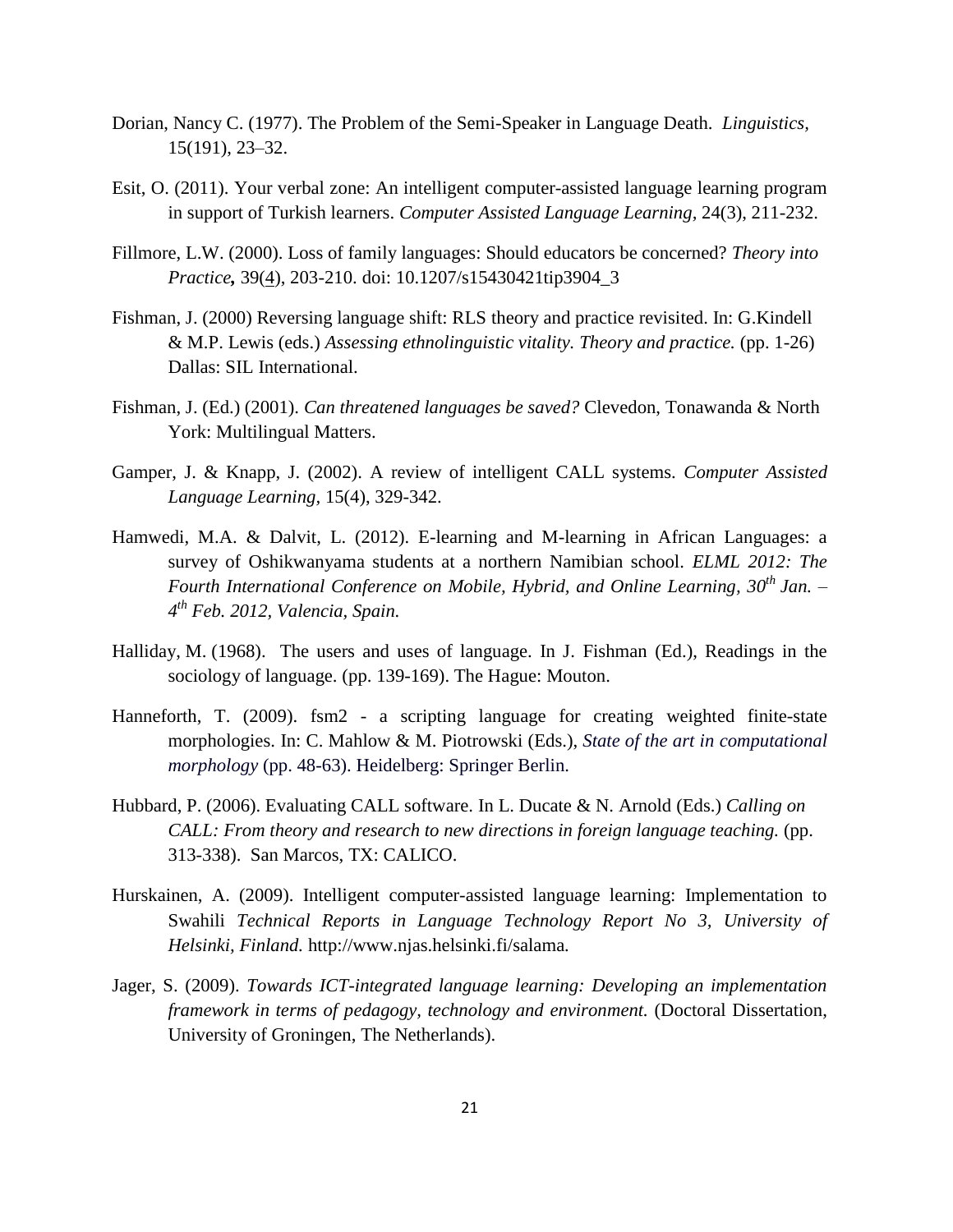- Dorian, Nancy C. (1977). The Problem of the Semi-Speaker in Language Death. *Linguistics,* 15(191), 23–32.
- Esit, O. (2011). Your verbal zone: An intelligent computer-assisted language learning program in support of Turkish learners. *Computer Assisted Language Learning,* 24(3), 211-232.
- Fillmore, L.W. (2000). Loss of family languages: Should educators be concerned? *Theory into Practice,* 39[\(4\)](http://www.tandfonline.com/toc/htip20/39/4), 203-210. doi: 10.1207/s15430421tip3904\_3
- Fishman, J. (2000) Reversing language shift: RLS theory and practice revisited. In: G.Kindell & M.P. Lewis (eds.) *Assessing ethnolinguistic vitality. Theory and practice.* (pp. 1-26) Dallas: SIL International.
- Fishman, J. (Ed.) (2001). *Can threatened languages be saved?* Clevedon, Tonawanda & North York: Multilingual Matters.
- Gamper, J. & Knapp, J. (2002). A review of intelligent CALL systems. *Computer Assisted Language Learning,* 15(4), 329-342.
- Hamwedi, M.A. & Dalvit, L. (2012). E-learning and M-learning in African Languages: a survey of Oshikwanyama students at a northern Namibian school. *ELML 2012: The Fourth International Conference on Mobile, Hybrid, and Online Learning, 30th Jan. – 4 th Feb. 2012, Valencia, Spain.*
- Halliday, M. (1968). The users and uses of language. In J. Fishman (Ed.), Readings in the sociology of language. (pp. 139-169). The Hague: Mouton.
- Hanneforth, T. (2009). fsm2 a scripting language for creating weighted finite-state morphologies. In: C. Mahlow & M. Piotrowski (Eds.), *State of the art in computational morphology* (pp. 48-63). Heidelberg: Springer Berlin.
- Hubbard, P. (2006). Evaluating CALL software. In L. Ducate & N. Arnold (Eds.) *Calling on CALL: From theory and research to new directions in foreign language teaching.* (pp. 313-338). San Marcos, TX: CALICO.
- Hurskainen, A. (2009). Intelligent computer-assisted language learning: Implementation to Swahili *Technical Reports in Language Technology Report No 3, University of Helsinki, Finland.* http://www.njas.helsinki.fi/salama*.*
- Jager, S. (2009). *Towards ICT-integrated language learning: Developing an implementation framework in terms of pedagogy, technology and environment.* (Doctoral Dissertation, University of Groningen, The Netherlands).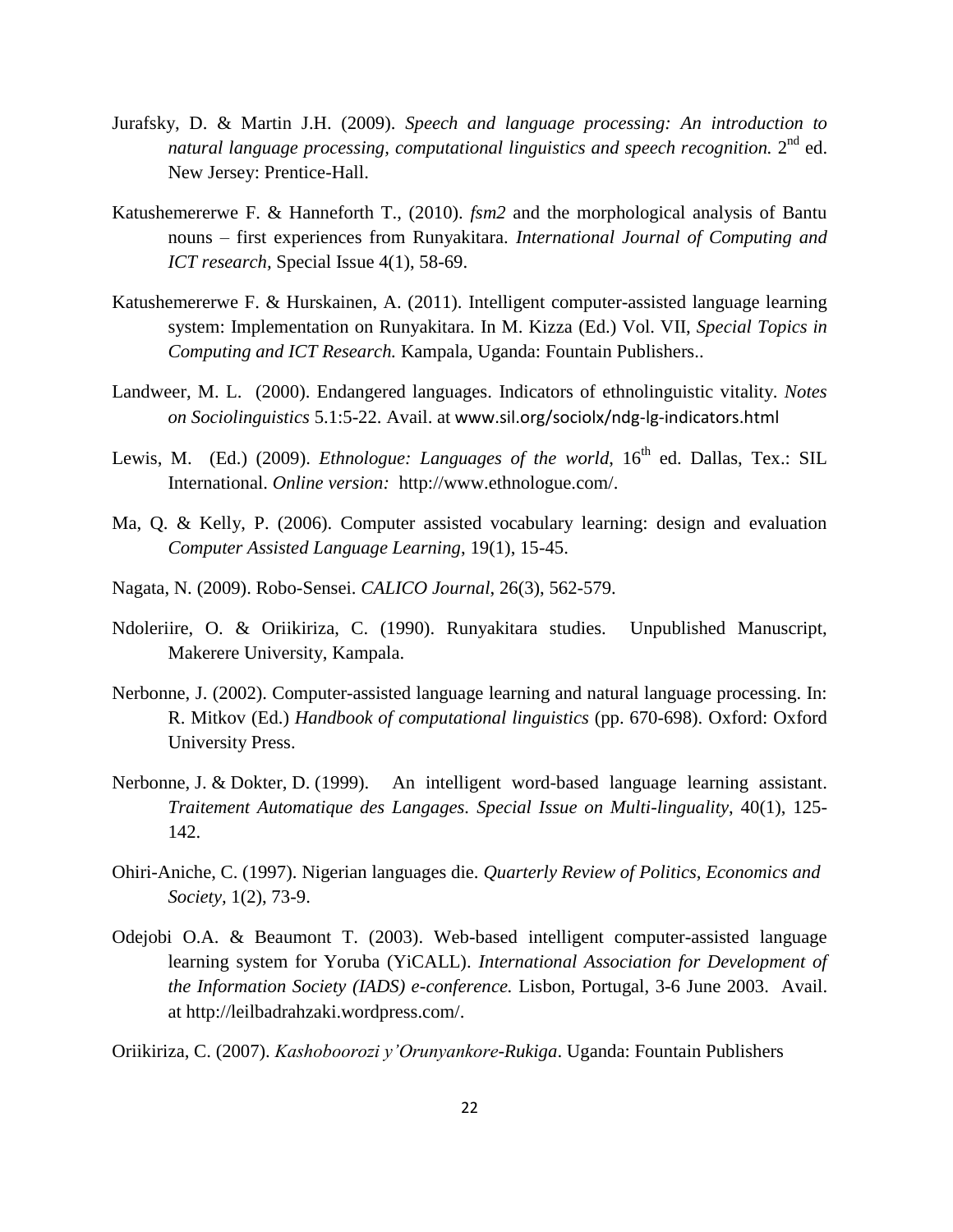- Jurafsky, D. & Martin J.H. (2009). *Speech and language processing: An introduction to*  natural language processing, computational linguistics and speech recognition. 2<sup>nd</sup> ed. New Jersey: Prentice-Hall.
- Katushemererwe F. & Hanneforth T., (2010). *fsm2* and the morphological analysis of Bantu nouns – first experiences from Runyakitara. *International Journal of Computing and ICT research,* Special Issue 4(1), 58-69.
- Katushemererwe F. & Hurskainen, A. (2011). Intelligent computer-assisted language learning system: Implementation on Runyakitara. In M. Kizza (Ed.) Vol. VII, *Special Topics in Computing and ICT Research.* Kampala, Uganda: Fountain Publishers..
- Landweer, M. L. (2000). Endangered languages. Indicators of ethnolinguistic vitality. *Notes on Sociolinguistics* 5.1:5-22. Avail. at www.sil.org/sociolx/ndg-lg-indicators.html
- Lewis, M. (Ed.) (2009). *Ethnologue: Languages of the world*, 16<sup>th</sup> ed. Dallas, Tex.: SIL International. *Online version:* http://www.ethnologue.com/.
- Ma, Q. & Kelly, P. (2006). Computer assisted vocabulary learning: design and evaluation *Computer Assisted Language Learning*, 19(1), 15-45.
- Nagata, N. (2009). Robo-Sensei. *CALICO Journal*, 26(3), 562-579.
- Ndoleriire, O. & Oriikiriza, C. (1990). Runyakitara studies. Unpublished Manuscript, Makerere University, Kampala.
- Nerbonne, J. (2002). Computer-assisted language learning and natural language processing. In: R. Mitkov (Ed.) *Handbook of computational linguistics* (pp. 670-698). Oxford: Oxford University Press.
- Nerbonne, J. & Dokter, D. (1999). An intelligent word-based language learning assistant. *Traitement Automatique des Langages. Special Issue on Multi-linguality*, 40(1), 125- 142.
- Ohiri-Aniche, C. (1997). Nigerian languages die. *Quarterly Review of Politics, Economics and Society,* 1(2), 73-9.
- Odejobi O.A. & Beaumont T. (2003). Web-based intelligent computer-assisted language learning system for Yoruba (YiCALL). *International Association for Development of the Information Society (IADS) e-conference.* Lisbon, Portugal, 3-6 June 2003. Avail. at http://leilbadrahzaki.wordpress.com/.
- Oriikiriza, C. (2007). *Kashoboorozi y'Orunyankore-Rukiga*. Uganda: Fountain Publishers